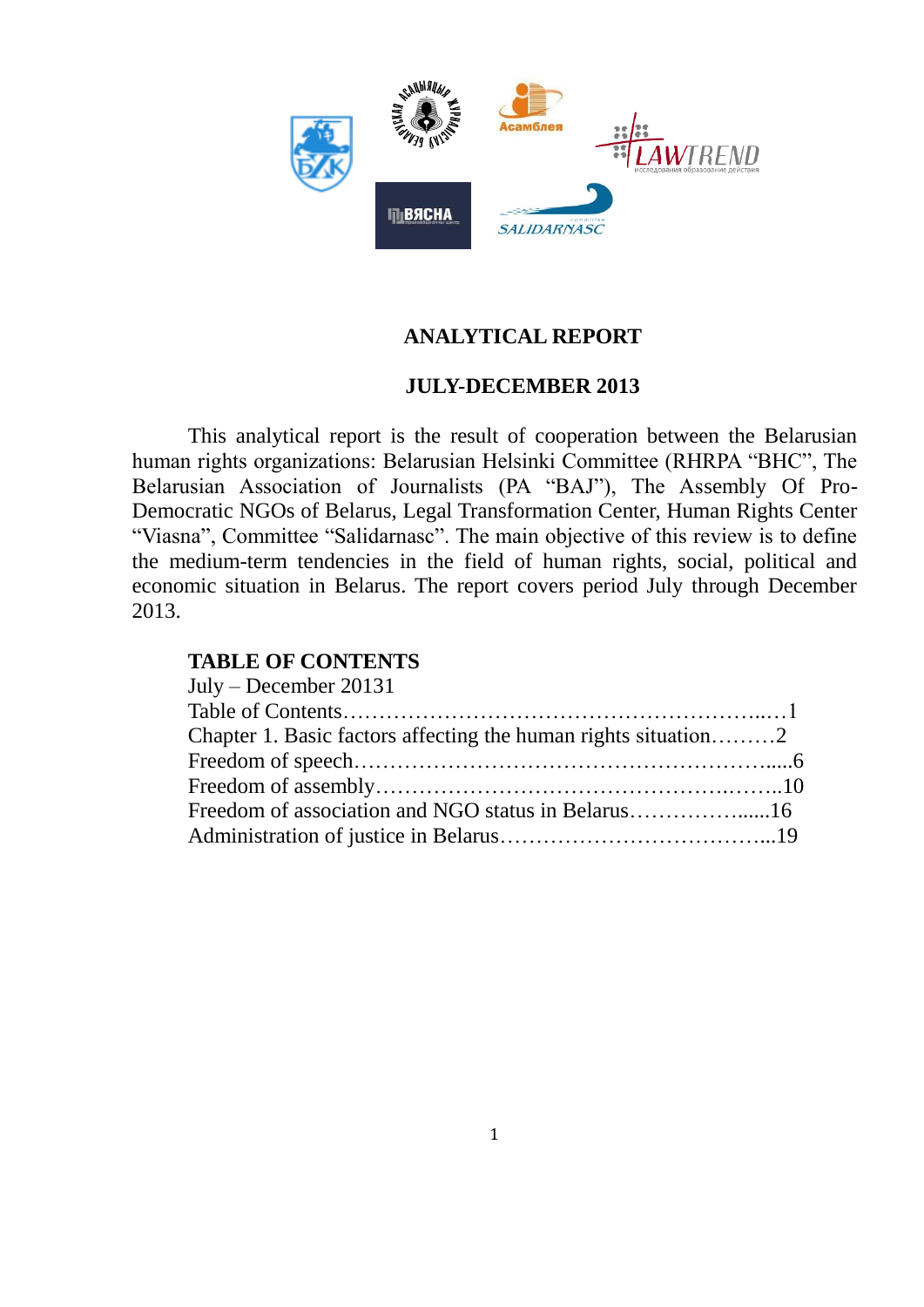

# **ANALYTICAL REPORT**

## **JULY-DECEMBER 2013**

This analytical report is the result of cooperation between the Belarusian human rights organizations: Belarusian Helsinki Committee (RHRPA "BHC", The Belarusian Association of Journalists (PA "BAJ"), The Assembly Of Pro-Democratic NGOs of Belarus, Legal Transformation Center, Human Rights Center "Viasna", Committee "Salidarnasc". The main objective of this review is to define the medium-term tendencies in the field of human rights, social, political and economic situation in Belarus. The report covers period July through December 2013.

## **TABLE OF CONTENTS**

| $July - December 20131$                                        |  |
|----------------------------------------------------------------|--|
|                                                                |  |
| Chapter 1. Basic factors affecting the human rights situation2 |  |
|                                                                |  |
|                                                                |  |
|                                                                |  |
|                                                                |  |
|                                                                |  |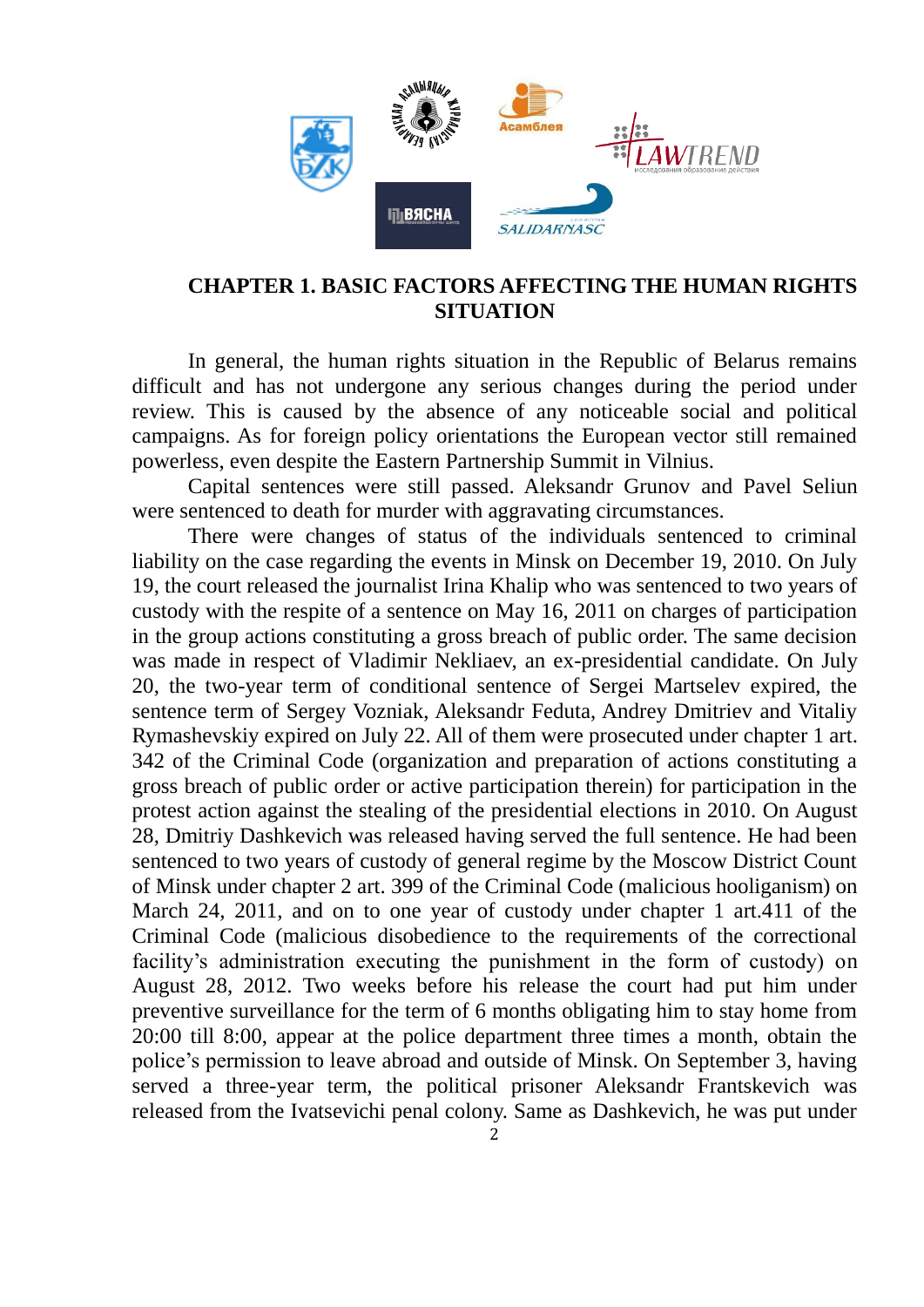

## **CHAPTER 1. BASIC FACTORS AFFECTING THE HUMAN RIGHTS SITUATION**

In general, the human rights situation in the Republic of Belarus remains difficult and has not undergone any serious changes during the period under review. This is caused by the absence of any noticeable social and political campaigns. As for foreign policy orientations the European vector still remained powerless, even despite the Eastern Partnership Summit in Vilnius.

Capital sentences were still passed. Aleksandr Grunov and Pavel Seliun were sentenced to death for murder with aggravating circumstances.

There were changes of status of the individuals sentenced to criminal liability on the case regarding the events in Minsk on December 19, 2010. On July 19, the court released the journalist Irina Khalip who was sentenced to two years of custody with the respite of a sentence on May 16, 2011 on charges of participation in the group actions constituting a gross breach of public order. The same decision was made in respect of Vladimir Nekliaev, an ex-presidential candidate. On July 20, the two-year term of conditional sentence of Sergei Martselev expired, the sentence term of Sergey Vozniak, Aleksandr Feduta, Andrey Dmitriev and Vitaliy Rymashevskiy expired on July 22. All of them were prosecuted under chapter 1 art. 342 of the Criminal Code (organization and preparation of actions constituting a gross breach of public order or active participation therein) for participation in the protest action against the stealing of the presidential elections in 2010. On August 28, Dmitriy Dashkevich was released having served the full sentence. He had been sentenced to two years of custody of general regime by the Moscow District Count of Minsk under chapter 2 art. 399 of the Criminal Code (malicious hooliganism) on March 24, 2011, and on to one year of custody under chapter 1 art.411 of the Criminal Code (malicious disobedience to the requirements of the correctional facility's administration executing the punishment in the form of custody) on August 28, 2012. Two weeks before his release the court had put him under preventive surveillance for the term of 6 months obligating him to stay home from 20:00 till 8:00, appear at the police department three times a month, obtain the police's permission to leave abroad and outside of Minsk. On September 3, having served a three-year term, the political prisoner Aleksandr Frantskevich was released from the Ivatsevichi penal colony. Same as Dashkevich, he was put under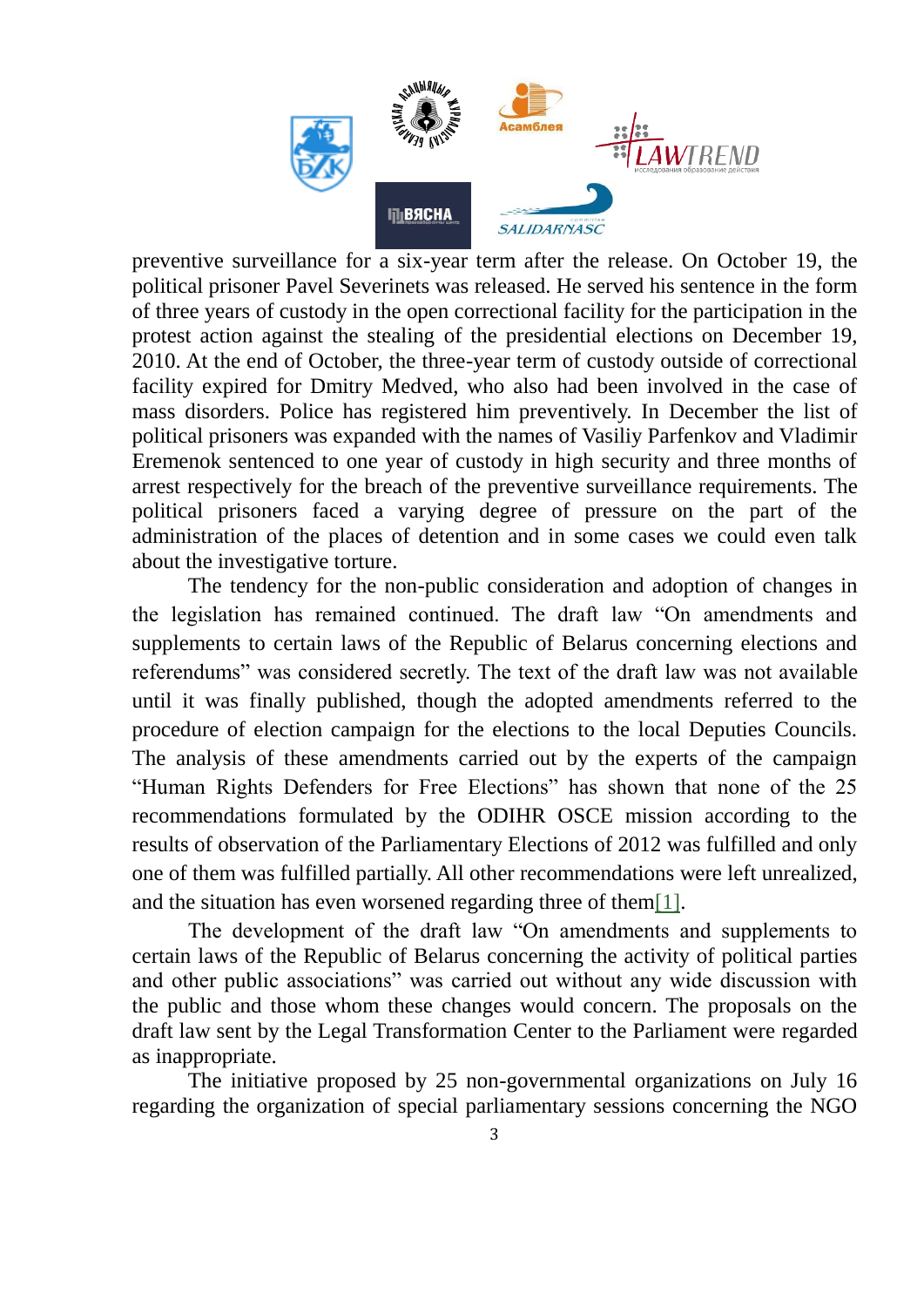

preventive surveillance for a six-year term after the release. On October 19, the political prisoner Pavel Severinets was released. He served his sentence in the form of three years of custody in the open correctional facility for the participation in the protest action against the stealing of the presidential elections on December 19, 2010. At the end of October, the three-year term of custody outside of correctional facility expired for Dmitry Medved, who also had been involved in the case of mass disorders. Police has registered him preventively. In December the list of political prisoners was expanded with the names of Vasiliy Parfenkov and Vladimir Eremenok sentenced to one year of custody in high security and three months of arrest respectively for the breach of the preventive surveillance requirements. The political prisoners faced a varying degree of pressure on the part of the administration of the places of detention and in some cases we could even talk about the investigative torture.

The tendency for the non-public consideration and adoption of changes in the legislation has remained continued. The draft law "On amendments and supplements to certain laws of the Republic of Belarus concerning elections and referendums" was considered secretly. The text of the draft law was not available until it was finally published, though the adopted amendments referred to the procedure of election campaign for the elections to the local Deputies Councils. The analysis of these amendments carried out by the experts of the campaign "Human Rights Defenders for Free Elections" has shown that none of the 25 recommendations formulated by the ODIHR OSCE mission according to the results of observation of the Parliamentary Elections of 2012 was fulfilled and only one of them was fulfilled partially. All other recommendations were left unrealized, and the situation has even worsened regarding three of them[1].

The development of the draft law "On amendments and supplements to certain laws of the Republic of Belarus concerning the activity of political parties and other public associations" was carried out without any wide discussion with the public and those whom these changes would concern. The proposals on the draft law sent by the Legal Transformation Center to the Parliament were regarded as inappropriate.

The initiative proposed by 25 non-governmental organizations on July 16 regarding the organization of special parliamentary sessions concerning the NGO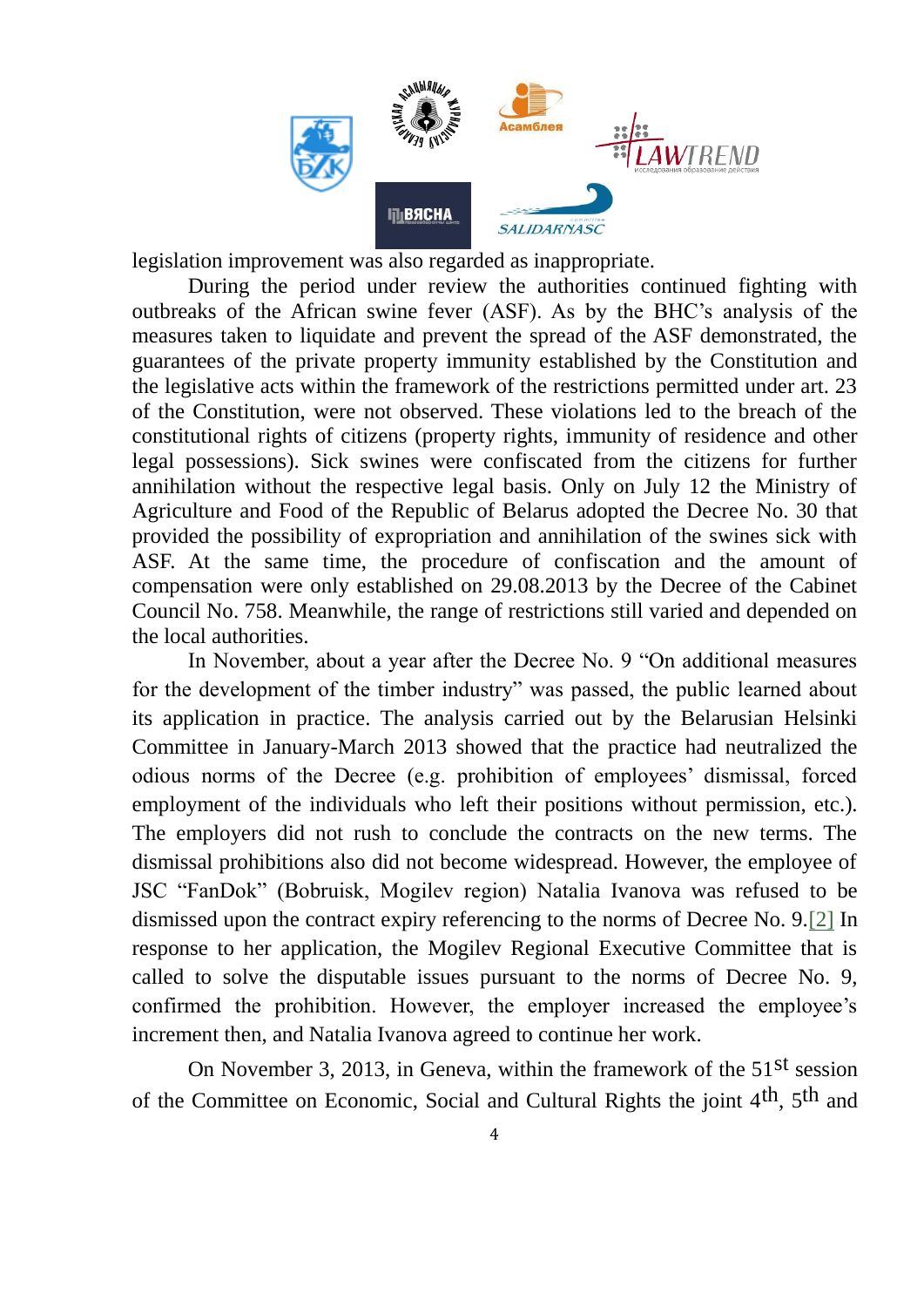

legislation improvement was also regarded as inappropriate.

During the period under review the authorities continued fighting with outbreaks of the African swine fever (ASF). As by the BHC's analysis of the measures taken to liquidate and prevent the spread of the ASF demonstrated, the guarantees of the private property immunity established by the Constitution and the legislative acts within the framework of the restrictions permitted under art. 23 of the Constitution, were not observed. These violations led to the breach of the constitutional rights of citizens (property rights, immunity of residence and other legal possessions). Sick swines were confiscated from the citizens for further annihilation without the respective legal basis. Only on July 12 the Ministry of Agriculture and Food of the Republic of Belarus adopted the Decree No. 30 that provided the possibility of expropriation and annihilation of the swines sick with ASF. At the same time, the procedure of confiscation and the amount of compensation were only established on 29.08.2013 by the Decree of the Cabinet Council No. 758. Meanwhile, the range of restrictions still varied and depended on the local authorities.

In November, about a year after the Decree No. 9 "On additional measures for the development of the timber industry" was passed, the public learned about its application in practice. The analysis carried out by the Belarusian Helsinki Committee in January-March 2013 showed that the practice had neutralized the odious norms of the Decree (e.g. prohibition of employees' dismissal, forced employment of the individuals who left their positions without permission, etc.). The employers did not rush to conclude the contracts on the new terms. The dismissal prohibitions also did not become widespread. However, the employee of JSC "FanDok" (Bobruisk, Mogilev region) Natalia Ivanova was refused to be dismissed upon the contract expiry referencing to the norms of Decree No. 9.[2] In response to her application, the Mogilev Regional Executive Committee that is called to solve the disputable issues pursuant to the norms of Decree No. 9, confirmed the prohibition. However, the employer increased the employee's increment then, and Natalia Ivanova agreed to continue her work.

On November 3, 2013, in Geneva, within the framework of the  $51<sup>st</sup>$  session of the Committee on Economic, Social and Cultural Rights the joint 4th, 5th and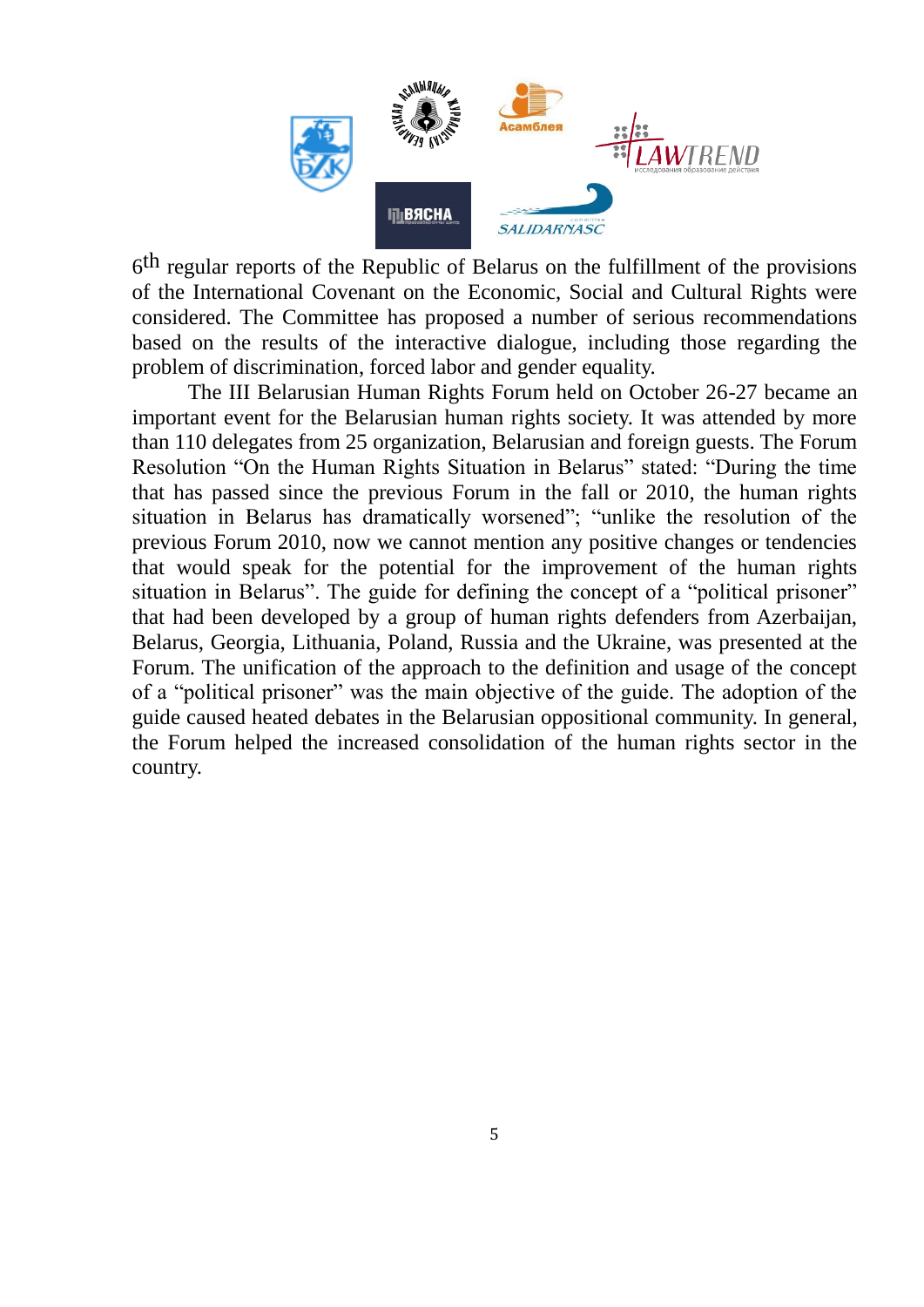

6<sup>th</sup> regular reports of the Republic of Belarus on the fulfillment of the provisions of the International Covenant on the Economic, Social and Cultural Rights were considered. The Committee has proposed a number of serious recommendations based on the results of the interactive dialogue, including those regarding the problem of discrimination, forced labor and gender equality.

The III Belarusian Human Rights Forum held on October 26-27 became an important event for the Belarusian human rights society. It was attended by more than 110 delegates from 25 organization, Belarusian and foreign guests. The Forum Resolution "On the Human Rights Situation in Belarus" stated: "During the time that has passed since the previous Forum in the fall or 2010, the human rights situation in Belarus has dramatically worsened"; "unlike the resolution of the previous Forum 2010, now we cannot mention any positive changes or tendencies that would speak for the potential for the improvement of the human rights situation in Belarus". The guide for defining the concept of a "political prisoner" that had been developed by a group of human rights defenders from Azerbaijan, Belarus, Georgia, Lithuania, Poland, Russia and the Ukraine, was presented at the Forum. The unification of the approach to the definition and usage of the concept of a "political prisoner" was the main objective of the guide. The adoption of the guide caused heated debates in the Belarusian oppositional community. In general, the Forum helped the increased consolidation of the human rights sector in the country.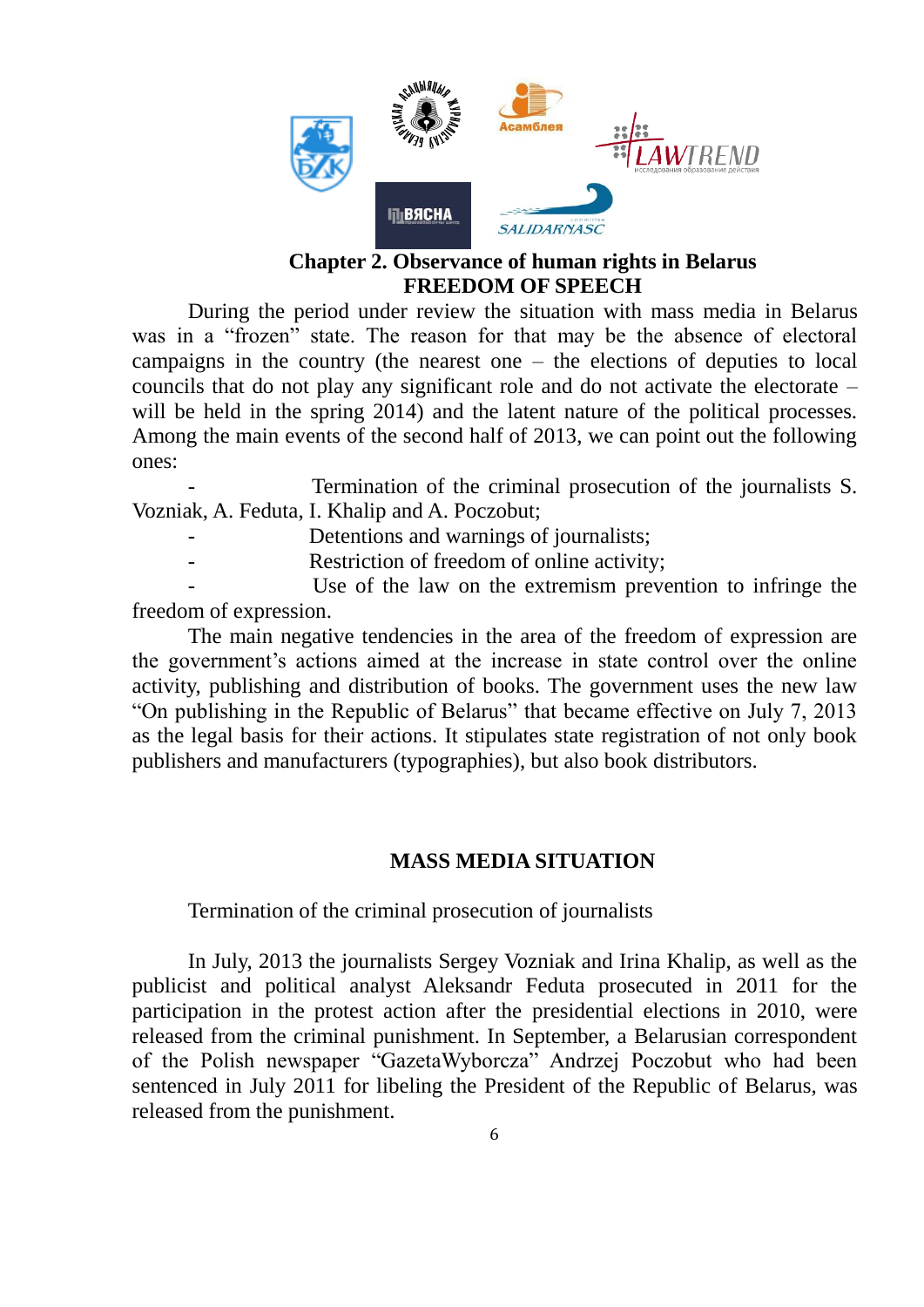

### **Chapter 2. Observance of human rights in Belarus FREEDOM OF SPEECH**

During the period under review the situation with mass media in Belarus was in a "frozen" state. The reason for that may be the absence of electoral campaigns in the country (the nearest one – the elections of deputies to local councils that do not play any significant role and do not activate the electorate – will be held in the spring 2014) and the latent nature of the political processes. Among the main events of the second half of 2013, we can point out the following ones:

Termination of the criminal prosecution of the journalists S. Vozniak, A. Feduta, I. Khalip and A. Poczobut;

- Detentions and warnings of journalists;
- Restriction of freedom of online activity;

Use of the law on the extremism prevention to infringe the freedom of expression.

The main negative tendencies in the area of the freedom of expression are the government's actions aimed at the increase in state control over the online activity, publishing and distribution of books. The government uses the new law "On publishing in the Republic of Belarus" that became effective on July 7, 2013 as the legal basis for their actions. It stipulates state registration of not only book publishers and manufacturers (typographies), but also book distributors.

## **MASS MEDIA SITUATION**

Termination of the criminal prosecution of journalists

In July, 2013 the journalists Sergey Vozniak and Irina Khalip, as well as the publicist and political analyst Aleksandr Feduta prosecuted in 2011 for the participation in the protest action after the presidential elections in 2010, were released from the criminal punishment. In September, a Belarusian correspondent of the Polish newspaper "GazetaWyborcza" Andrzej Poczobut who had been sentenced in July 2011 for libeling the President of the Republic of Belarus, was released from the punishment.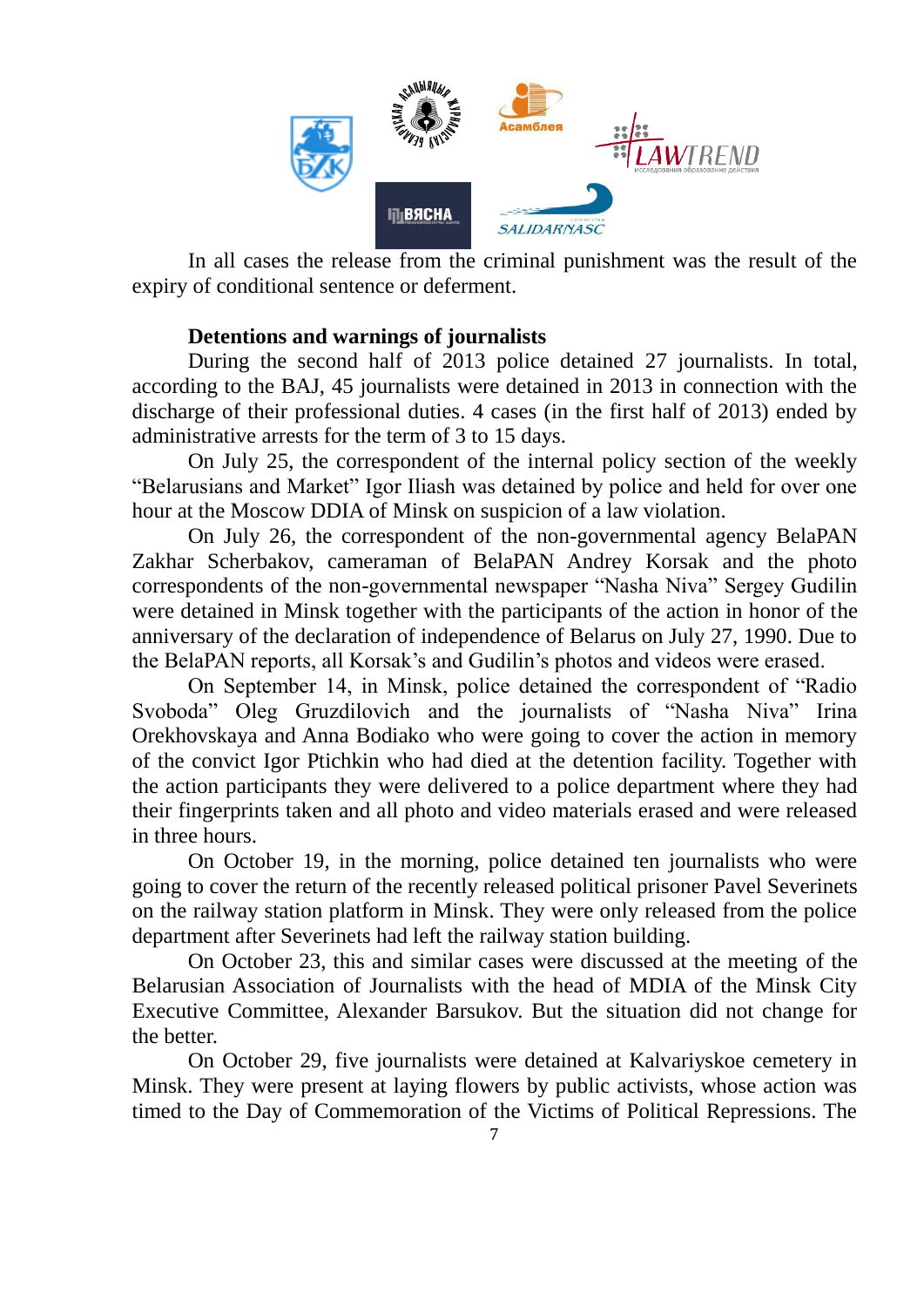

In all cases the release from the criminal punishment was the result of the expiry of conditional sentence or deferment.

## **Detentions and warnings of journalists**

During the second half of 2013 police detained 27 journalists. In total, according to the BAJ, 45 journalists were detained in 2013 in connection with the discharge of their professional duties. 4 cases (in the first half of 2013) ended by administrative arrests for the term of 3 to 15 days.

On July 25, the correspondent of the internal policy section of the weekly "Belarusians and Market" Igor Iliash was detained by police and held for over one hour at the Moscow DDIA of Minsk on suspicion of a law violation.

On July 26, the correspondent of the non-governmental agency BelaPAN Zakhar Scherbakov, cameraman of BelaPAN Andrey Korsak and the photo correspondents of the non-governmental newspaper "Nasha Niva" Sergey Gudilin were detained in Minsk together with the participants of the action in honor of the anniversary of the declaration of independence of Belarus on July 27, 1990. Due to the BelaPAN reports, all Korsak's and Gudilin's photos and videos were erased.

On September 14, in Minsk, police detained the correspondent of "Radio Svoboda" Oleg Gruzdilovich and the journalists of "Nasha Niva" Irina Orekhovskaya and Anna Bodiako who were going to cover the action in memory of the convict Igor Ptichkin who had died at the detention facility. Together with the action participants they were delivered to a police department where they had their fingerprints taken and all photo and video materials erased and were released in three hours.

On October 19, in the morning, police detained ten journalists who were going to cover the return of the recently released political prisoner Pavel Severinets on the railway station platform in Minsk. They were only released from the police department after Severinets had left the railway station building.

On October 23, this and similar cases were discussed at the meeting of the Belarusian Association of Journalists with the head of MDIA of the Minsk City Executive Committee, Alexander Barsukov. But the situation did not change for the better.

On October 29, five journalists were detained at Kalvariyskoe cemetery in Minsk. They were present at laying flowers by public activists, whose action was timed to the Day of Commemoration of the Victims of Political Repressions. The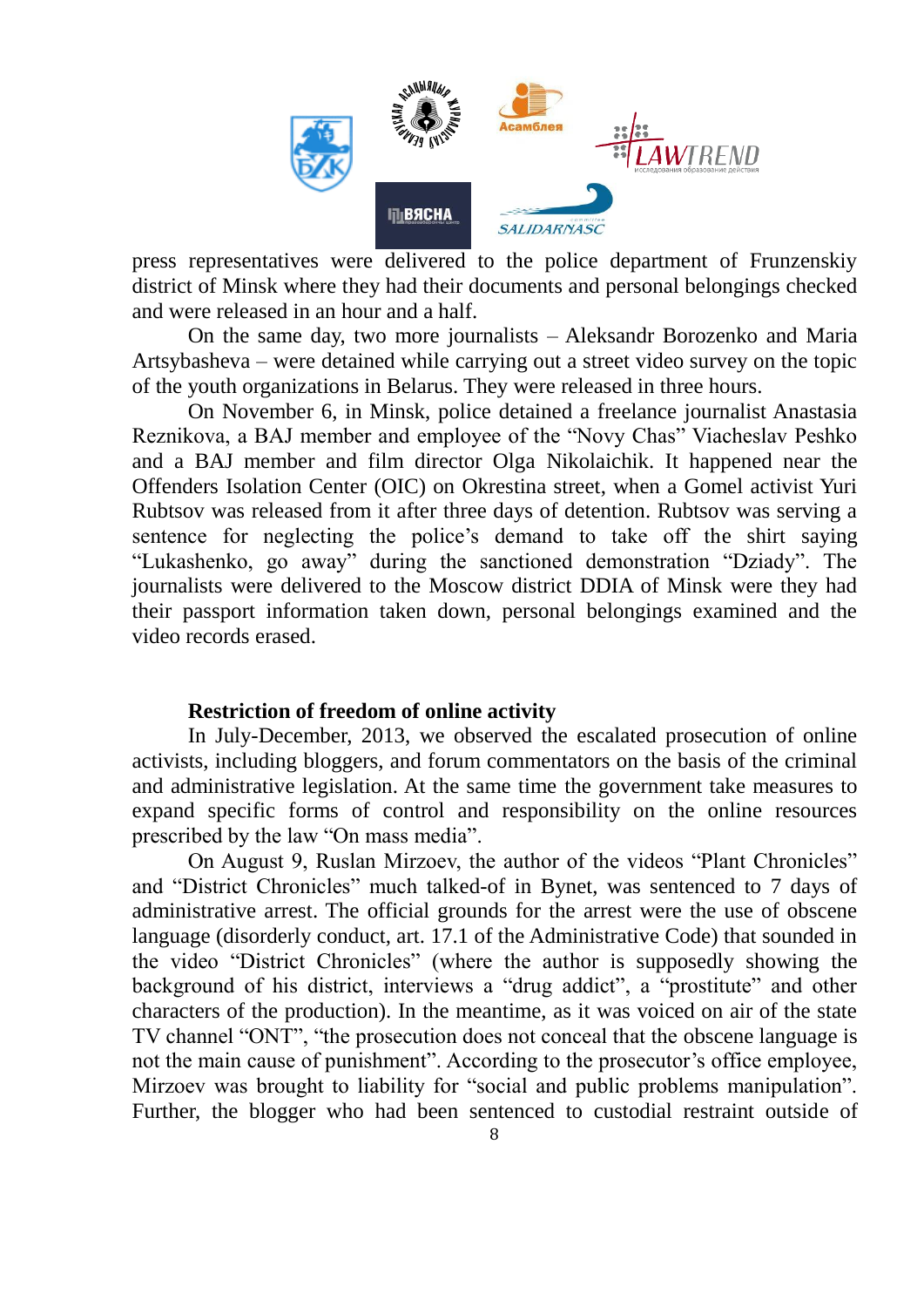

press representatives were delivered to the police department of Frunzenskiy district of Minsk where they had their documents and personal belongings checked and were released in an hour and a half.

On the same day, two more journalists – Aleksandr Borozenko and Maria Artsybasheva – were detained while carrying out a street video survey on the topic of the youth organizations in Belarus. They were released in three hours.

On November 6, in Minsk, police detained a freelance journalist Anastasia Reznikova, a BAJ member and employee of the "Novy Chas" Viacheslav Peshko and a BAJ member and film director Olga Nikolaichik. It happened near the Offenders Isolation Center (OIC) on Okrestina street, when a Gomel activist Yuri Rubtsov was released from it after three days of detention. Rubtsov was serving a sentence for neglecting the police's demand to take off the shirt saying "Lukashenko, go away" during the sanctioned demonstration "Dziady". The journalists were delivered to the Moscow district DDIA of Minsk were they had their passport information taken down, personal belongings examined and the video records erased.

#### **Restriction of freedom of online activity**

In July-December, 2013, we observed the escalated prosecution of online activists, including bloggers, and forum commentators on the basis of the criminal and administrative legislation. At the same time the government take measures to expand specific forms of control and responsibility on the online resources prescribed by the law "On mass media".

On August 9, Ruslan Mirzoev, the author of the videos "Plant Chronicles" and "District Chronicles" much talked-of in Bynet, was sentenced to 7 days of administrative arrest. The official grounds for the arrest were the use of obscene language (disorderly conduct, art. 17.1 of the Administrative Code) that sounded in the video "District Chronicles" (where the author is supposedly showing the background of his district, interviews a "drug addict", a "prostitute" and other characters of the production). In the meantime, as it was voiced on air of the state TV channel "ONT", "the prosecution does not conceal that the obscene language is not the main cause of punishment". According to the prosecutor's office employee, Mirzoev was brought to liability for "social and public problems manipulation". Further, the blogger who had been sentenced to custodial restraint outside of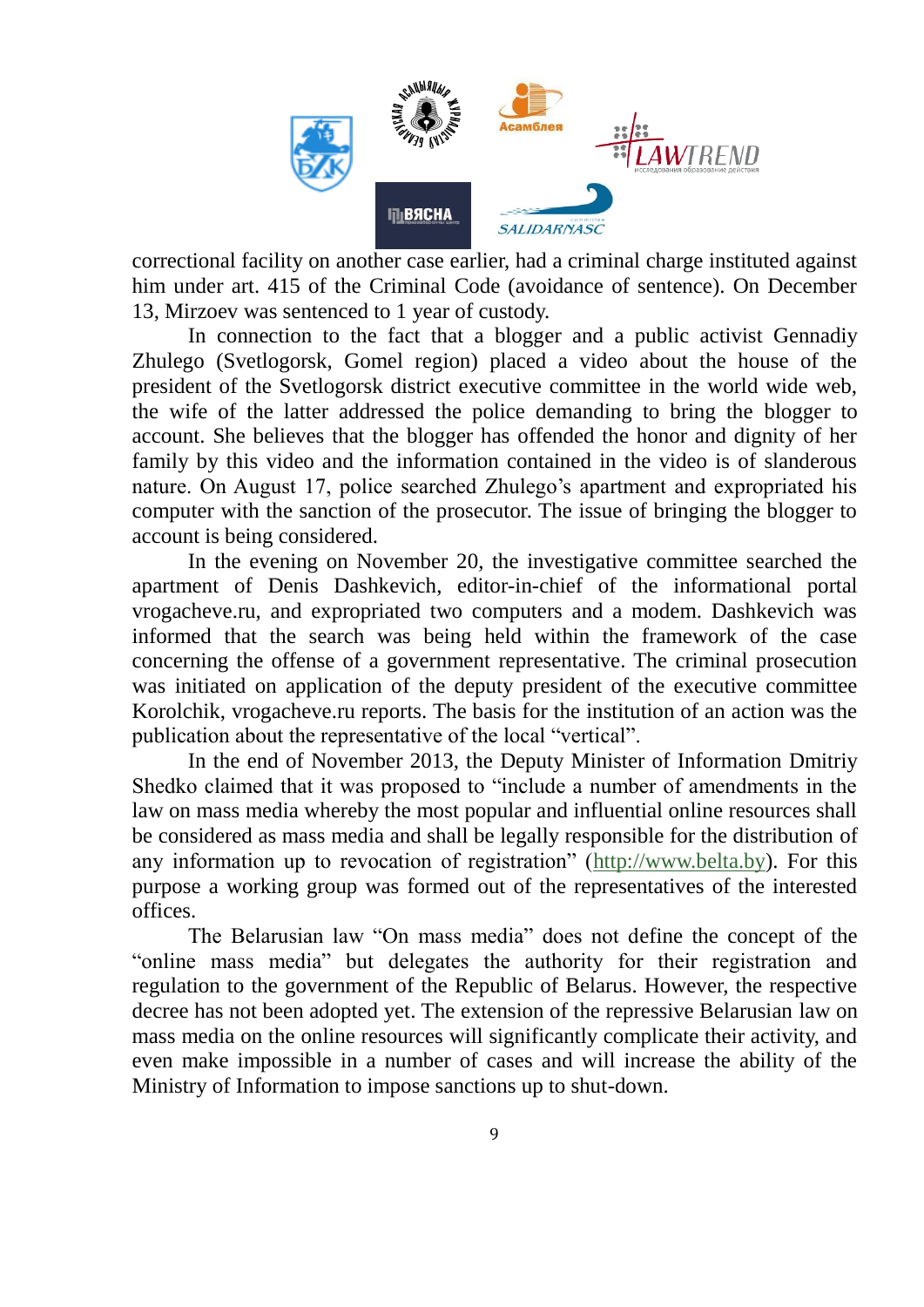

correctional facility on another case earlier, had a criminal charge instituted against him under art. 415 of the Criminal Code (avoidance of sentence). On December 13, Mirzoev was sentenced to 1 year of custody.

In connection to the fact that a blogger and a public activist Gennadiy Zhulego (Svetlogorsk, Gomel region) placed a video about the house of the president of the Svetlogorsk district executive committee in the world wide web, the wife of the latter addressed the police demanding to bring the blogger to account. She believes that the blogger has offended the honor and dignity of her family by this video and the information contained in the video is of slanderous nature. On August 17, police searched Zhulego's apartment and expropriated his computer with the sanction of the prosecutor. The issue of bringing the blogger to account is being considered.

In the evening on November 20, the investigative committee searched the apartment of Denis Dashkevich, editor-in-chief of the informational portal vrogacheve.ru, and expropriated two computers and a modem. Dashkevich was informed that the search was being held within the framework of the case concerning the offense of a government representative. The criminal prosecution was initiated on application of the deputy president of the executive committee Korolchik, vrogacheve.ru reports. The basis for the institution of an action was the publication about the representative of the local "vertical".

In the end of November 2013, the Deputy Minister of Information Dmitriy Shedko claimed that it was proposed to "include a number of amendments in the law on mass media whereby the most popular and influential online resources shall be considered as mass media and shall be legally responsible for the distribution of any information up to revocation of registration" [\(http://www.belta.by\)](http://www.belta.by/). For this purpose a working group was formed out of the representatives of the interested offices.

The Belarusian law "On mass media" does not define the concept of the "online mass media" but delegates the authority for their registration and regulation to the government of the Republic of Belarus. However, the respective decree has not been adopted yet. The extension of the repressive Belarusian law on mass media on the online resources will significantly complicate their activity, and even make impossible in a number of cases and will increase the ability of the Ministry of Information to impose sanctions up to shut-down.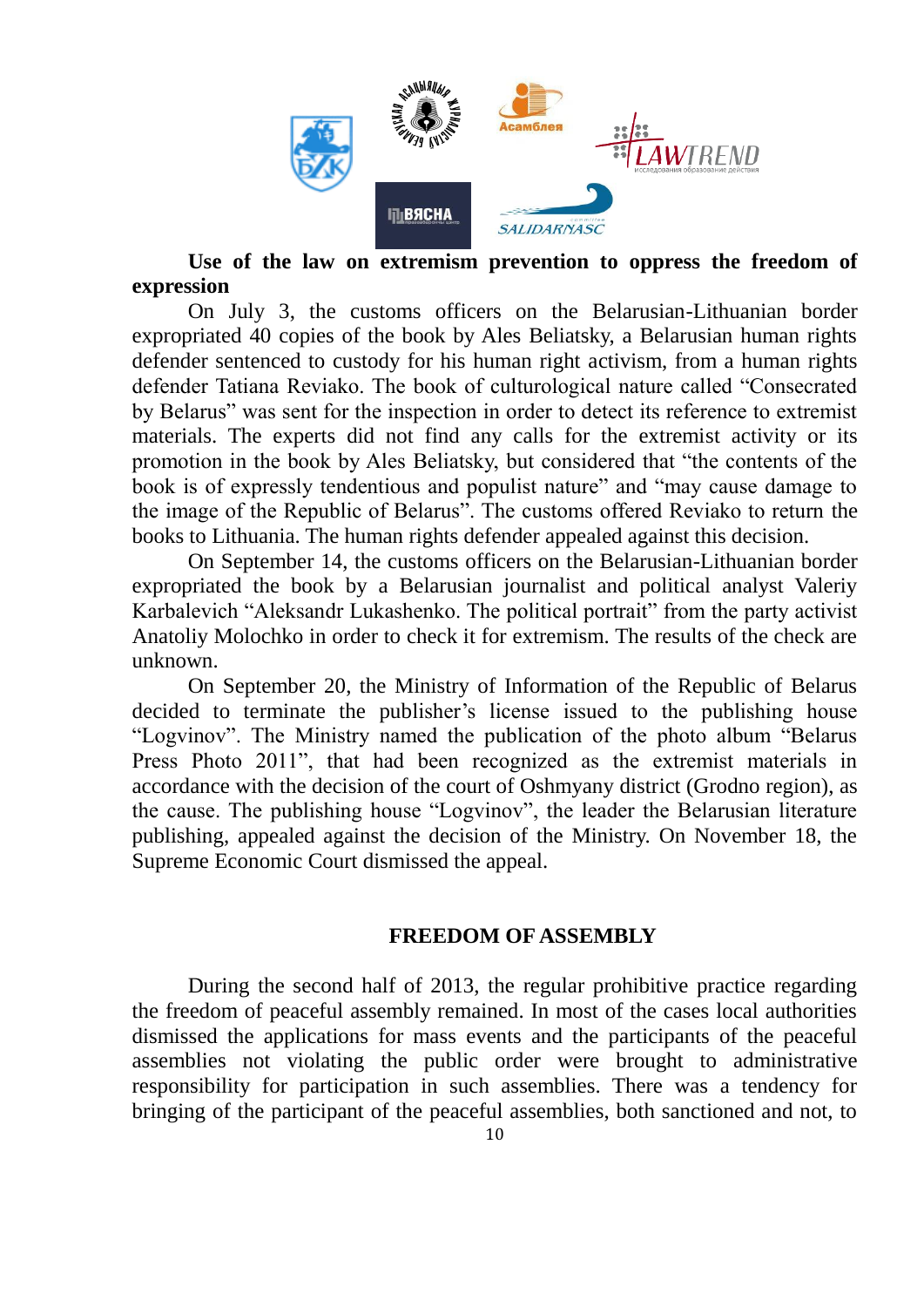

## **Use of the law on extremism prevention to oppress the freedom of expression**

On July 3, the customs officers on the Belarusian-Lithuanian border expropriated 40 copies of the book by Ales Beliatsky, a Belarusian human rights defender sentenced to custody for his human right activism, from a human rights defender Tatiana Reviako. The book of culturological nature called "Consecrated by Belarus" was sent for the inspection in order to detect its reference to extremist materials. The experts did not find any calls for the extremist activity or its promotion in the book by Ales Beliatsky, but considered that "the contents of the book is of expressly tendentious and populist nature" and "may cause damage to the image of the Republic of Belarus". The customs offered Reviako to return the books to Lithuania. The human rights defender appealed against this decision.

On September 14, the customs officers on the Belarusian-Lithuanian border expropriated the book by a Belarusian journalist and political analyst Valeriy Karbalevich "Aleksandr Lukashenko. The political portrait" from the party activist Anatoliy Molochko in order to check it for extremism. The results of the check are unknown.

On September 20, the Ministry of Information of the Republic of Belarus decided to terminate the publisher's license issued to the publishing house "Logvinov". The Ministry named the publication of the photo album "Belarus Press Photo 2011", that had been recognized as the extremist materials in accordance with the decision of the court of Oshmyany district (Grodno region), as the cause. The publishing house "Logvinov", the leader the Belarusian literature publishing, appealed against the decision of the Ministry. On November 18, the Supreme Economic Court dismissed the appeal.

### **FREEDOM OF ASSEMBLY**

During the second half of 2013, the regular prohibitive practice regarding the freedom of peaceful assembly remained. In most of the cases local authorities dismissed the applications for mass events and the participants of the peaceful assemblies not violating the public order were brought to administrative responsibility for participation in such assemblies. There was a tendency for bringing of the participant of the peaceful assemblies, both sanctioned and not, to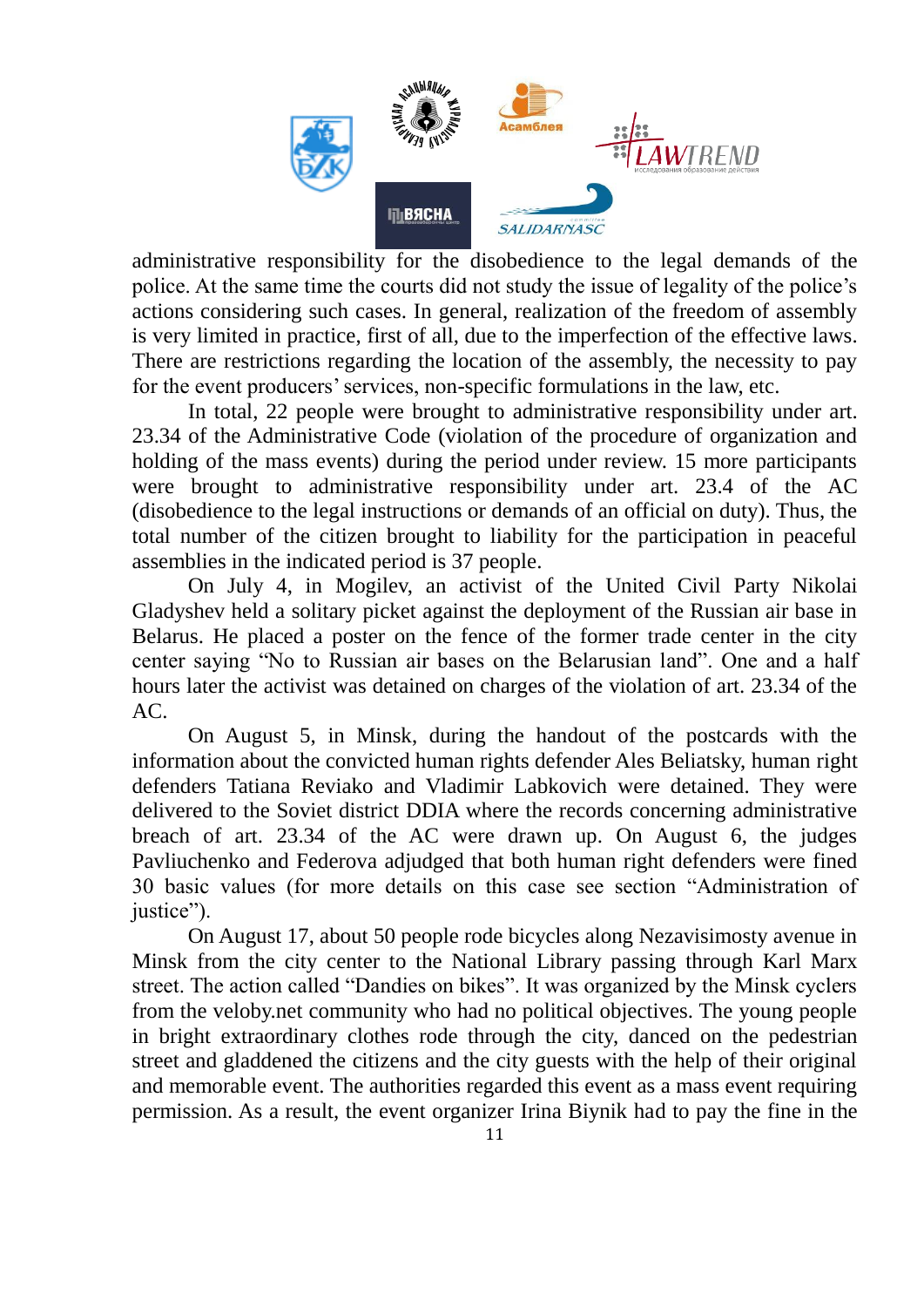

administrative responsibility for the disobedience to the legal demands of the police. At the same time the courts did not study the issue of legality of the police's actions considering such cases. In general, realization of the freedom of assembly is very limited in practice, first of all, due to the imperfection of the effective laws. There are restrictions regarding the location of the assembly, the necessity to pay for the event producers' services, non-specific formulations in the law, etc.

In total, 22 people were brought to administrative responsibility under art. 23.34 of the Administrative Code (violation of the procedure of organization and holding of the mass events) during the period under review. 15 more participants were brought to administrative responsibility under art. 23.4 of the AC (disobedience to the legal instructions or demands of an official on duty). Thus, the total number of the citizen brought to liability for the participation in peaceful assemblies in the indicated period is 37 people.

On July 4, in Mogilev, an activist of the United Civil Party Nikolai Gladyshev held a solitary picket against the deployment of the Russian air base in Belarus. He placed a poster on the fence of the former trade center in the city center saying "No to Russian air bases on the Belarusian land". One and a half hours later the activist was detained on charges of the violation of art. 23.34 of the AC.

On August 5, in Minsk, during the handout of the postcards with the information about the convicted human rights defender Ales Beliatsky, human right defenders Tatiana Reviako and Vladimir Labkovich were detained. They were delivered to the Soviet district DDIA where the records concerning administrative breach of art. 23.34 of the AC were drawn up. On August 6, the judges Pavliuchenko and Federova adjudged that both human right defenders were fined 30 basic values (for more details on this case see section "Administration of justice").

On August 17, about 50 people rode bicycles along Nezavisimosty avenue in Minsk from the city center to the National Library passing through Karl Marx street. The action called "Dandies on bikes". It was organized by the Minsk cyclers from the veloby.net community who had no political objectives. The young people in bright extraordinary clothes rode through the city, danced on the pedestrian street and gladdened the citizens and the city guests with the help of their original and memorable event. The authorities regarded this event as a mass event requiring permission. As a result, the event organizer Irina Biynik had to pay the fine in the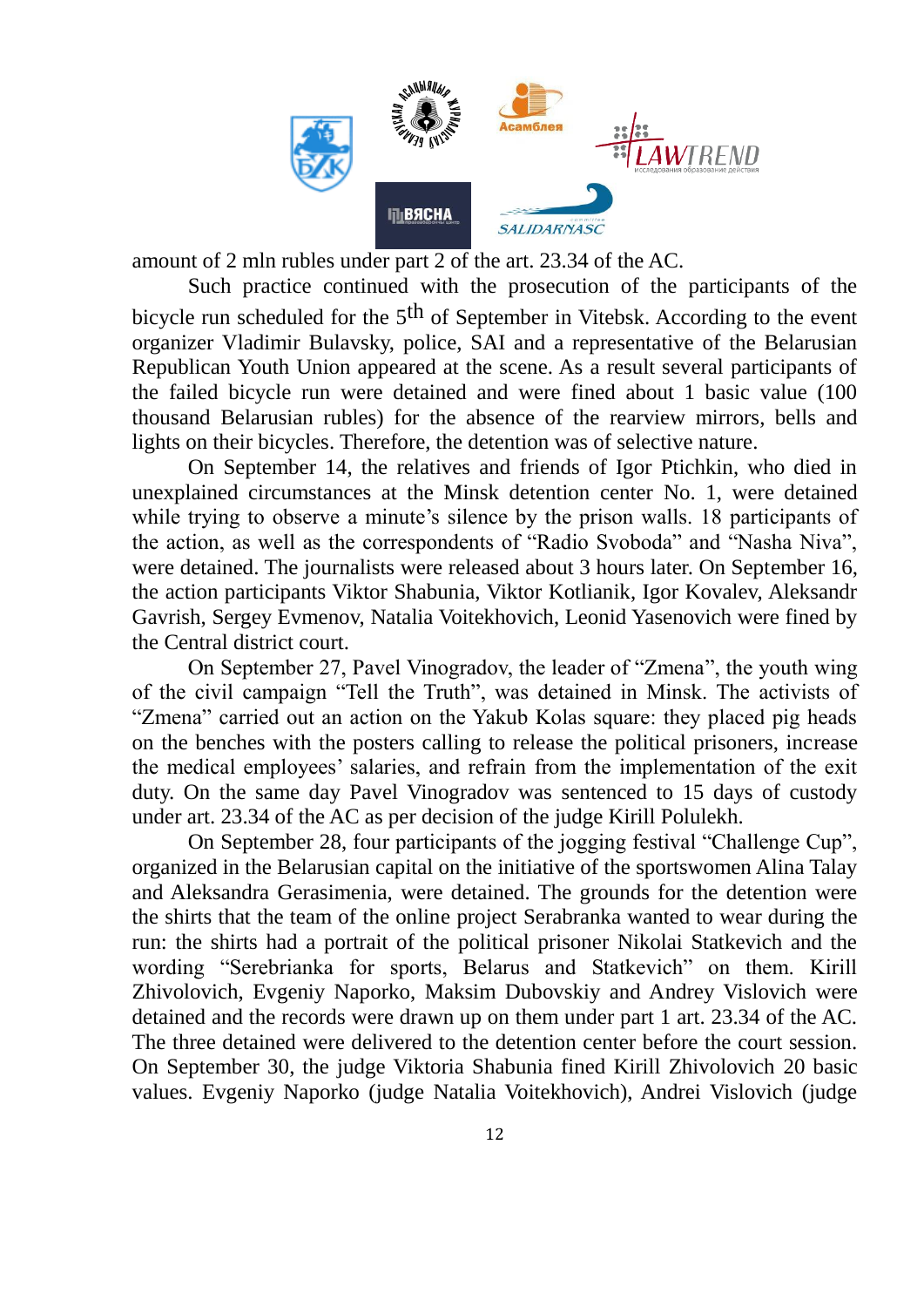

amount of 2 mln rubles under part 2 of the art. 23.34 of the AC.

Such practice continued with the prosecution of the participants of the bicycle run scheduled for the 5<sup>th</sup> of September in Vitebsk. According to the event organizer Vladimir Bulavsky, police, SAI and a representative of the Belarusian Republican Youth Union appeared at the scene. As a result several participants of the failed bicycle run were detained and were fined about 1 basic value (100 thousand Belarusian rubles) for the absence of the rearview mirrors, bells and lights on their bicycles. Therefore, the detention was of selective nature.

On September 14, the relatives and friends of Igor Ptichkin, who died in unexplained circumstances at the Minsk detention center No. 1, were detained while trying to observe a minute's silence by the prison walls. 18 participants of the action, as well as the correspondents of "Radio Svoboda" and "Nasha Niva", were detained. The journalists were released about 3 hours later. On September 16, the action participants Viktor Shabunia, Viktor Kotlianik, Igor Kovalev, Aleksandr Gavrish, Sergey Evmenov, Natalia Voitekhovich, Leonid Yasenovich were fined by the Central district court.

On September 27, Pavel Vinogradov, the leader of "Zmena", the youth wing of the civil campaign "Tell the Truth", was detained in Minsk. The activists of "Zmena" carried out an action on the Yakub Kolas square: they placed pig heads on the benches with the posters calling to release the political prisoners, increase the medical employees' salaries, and refrain from the implementation of the exit duty. On the same day Pavel Vinogradov was sentenced to 15 days of custody under art. 23.34 of the AC as per decision of the judge Kirill Polulekh.

On September 28, four participants of the jogging festival "Challenge Cup", organized in the Belarusian capital on the initiative of the sportswomen Alina Talay and Aleksandra Gerasimenia, were detained. The grounds for the detention were the shirts that the team of the online project Serabranka wanted to wear during the run: the shirts had a portrait of the political prisoner Nikolai Statkevich and the wording "Serebrianka for sports, Belarus and Statkevich" on them. Kirill Zhivolovich, Evgeniy Naporko, Maksim Dubovskiy and Andrey Vislovich were detained and the records were drawn up on them under part 1 art. 23.34 of the AC. The three detained were delivered to the detention center before the court session. On September 30, the judge Viktoria Shabunia fined Kirill Zhivolovich 20 basic values. Evgeniy Naporko (judge Natalia Voitekhovich), Andrei Vislovich (judge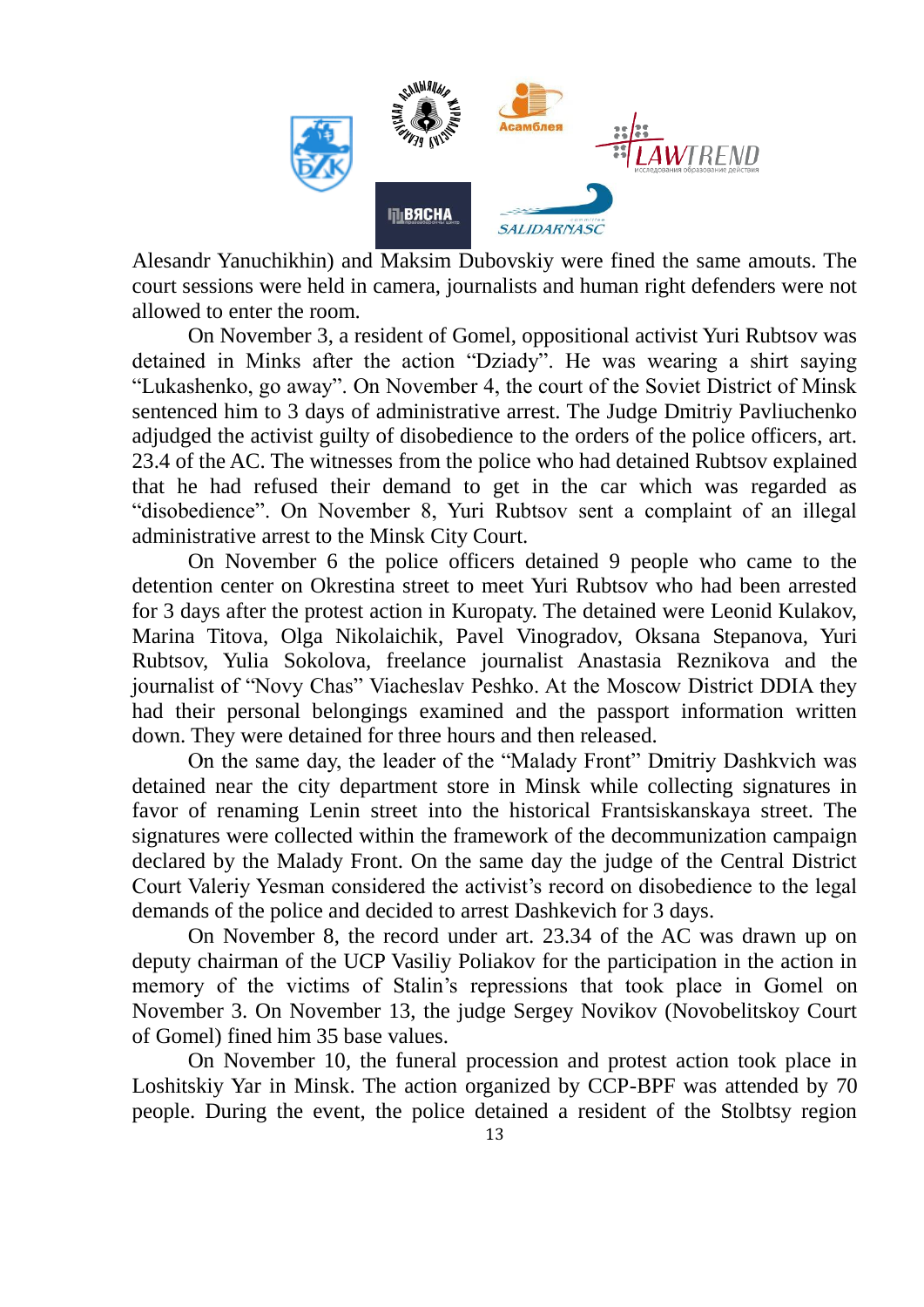

Alesandr Yanuchikhin) and Maksim Dubovskiy were fined the same amouts. The court sessions were held in camera, journalists and human right defenders were not allowed to enter the room.

On November 3, a resident of Gomel, oppositional activist Yuri Rubtsov was detained in Minks after the action "Dziady". He was wearing a shirt saying "Lukashenko, go away". On November 4, the court of the Soviet District of Minsk sentenced him to 3 days of administrative arrest. The Judge Dmitriy Pavliuchenko adjudged the activist guilty of disobedience to the orders of the police officers, art. 23.4 of the AC. The witnesses from the police who had detained Rubtsov explained that he had refused their demand to get in the car which was regarded as "disobedience". On November 8, Yuri Rubtsov sent a complaint of an illegal administrative arrest to the Minsk City Court.

On November 6 the police officers detained 9 people who came to the detention center on Okrestina street to meet Yuri Rubtsov who had been arrested for 3 days after the protest action in Kuropaty. The detained were Leonid Kulakov, Marina Titova, Olga Nikolaichik, Pavel Vinogradov, Oksana Stepanova, Yuri Rubtsov, Yulia Sokolova, freelance journalist Anastasia Reznikova and the journalist of "Novy Chas" Viacheslav Peshko. At the Moscow District DDIA they had their personal belongings examined and the passport information written down. They were detained for three hours and then released.

On the same day, the leader of the "Malady Front" Dmitriy Dashkvich was detained near the city department store in Minsk while collecting signatures in favor of renaming Lenin street into the historical Frantsiskanskaya street. The signatures were collected within the framework of the decommunization campaign declared by the Malady Front. On the same day the judge of the Central District Court Valeriy Yesman considered the activist's record on disobedience to the legal demands of the police and decided to arrest Dashkevich for 3 days.

On November 8, the record under art. 23.34 of the AC was drawn up on deputy chairman of the UCP Vasiliy Poliakov for the participation in the action in memory of the victims of Stalin's repressions that took place in Gomel on November 3. On November 13, the judge Sergey Novikov (Novobelitskoy Court of Gomel) fined him 35 base values.

On November 10, the funeral procession and protest action took place in Loshitskiy Yar in Minsk. The action organized by CCP-BPF was attended by 70 people. During the event, the police detained a resident of the Stolbtsy region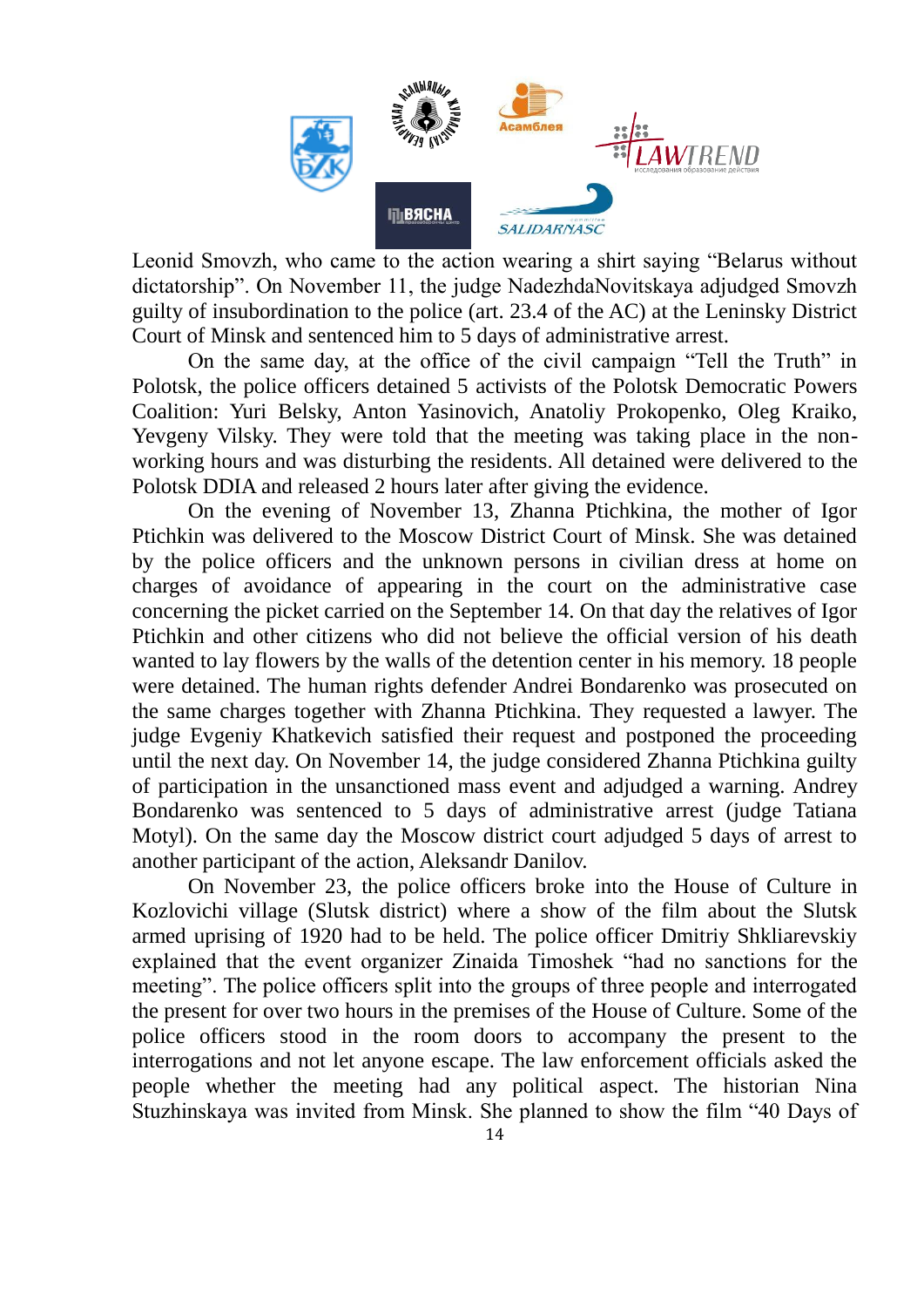

Leonid Smovzh, who came to the action wearing a shirt saying "Belarus without dictatorship". On November 11, the judge NadezhdaNovitskaya adjudged Smovzh guilty of insubordination to the police (art. 23.4 of the AC) at the Leninsky District Court of Minsk and sentenced him to 5 days of administrative arrest.

On the same day, at the office of the civil campaign "Tell the Truth" in Polotsk, the police officers detained 5 activists of the Polotsk Democratic Powers Coalition: Yuri Belsky, Anton Yasinovich, Anatoliy Prokopenko, Oleg Kraiko, Yevgeny Vilsky. They were told that the meeting was taking place in the nonworking hours and was disturbing the residents. All detained were delivered to the Polotsk DDIA and released 2 hours later after giving the evidence.

On the evening of November 13, Zhanna Ptichkina, the mother of Igor Ptichkin was delivered to the Moscow District Court of Minsk. She was detained by the police officers and the unknown persons in civilian dress at home on charges of avoidance of appearing in the court on the administrative case concerning the picket carried on the September 14. On that day the relatives of Igor Ptichkin and other citizens who did not believe the official version of his death wanted to lay flowers by the walls of the detention center in his memory. 18 people were detained. The human rights defender Andrei Bondarenko was prosecuted on the same charges together with Zhanna Ptichkina. They requested a lawyer. The judge Evgeniy Khatkevich satisfied their request and postponed the proceeding until the next day. On November 14, the judge considered Zhanna Ptichkina guilty of participation in the unsanctioned mass event and adjudged a warning. Andrey Bondarenko was sentenced to 5 days of administrative arrest (judge Tatiana Motyl). On the same day the Moscow district court adjudged 5 days of arrest to another participant of the action, Aleksandr Danilov.

On November 23, the police officers broke into the House of Culture in Kozlovichi village (Slutsk district) where a show of the film about the Slutsk armed uprising of 1920 had to be held. The police officer Dmitriy Shkliarevskiy explained that the event organizer Zinaida Timoshek "had no sanctions for the meeting". The police officers split into the groups of three people and interrogated the present for over two hours in the premises of the House of Culture. Some of the police officers stood in the room doors to accompany the present to the interrogations and not let anyone escape. The law enforcement officials asked the people whether the meeting had any political aspect. The historian Nina Stuzhinskaya was invited from Minsk. She planned to show the film "40 Days of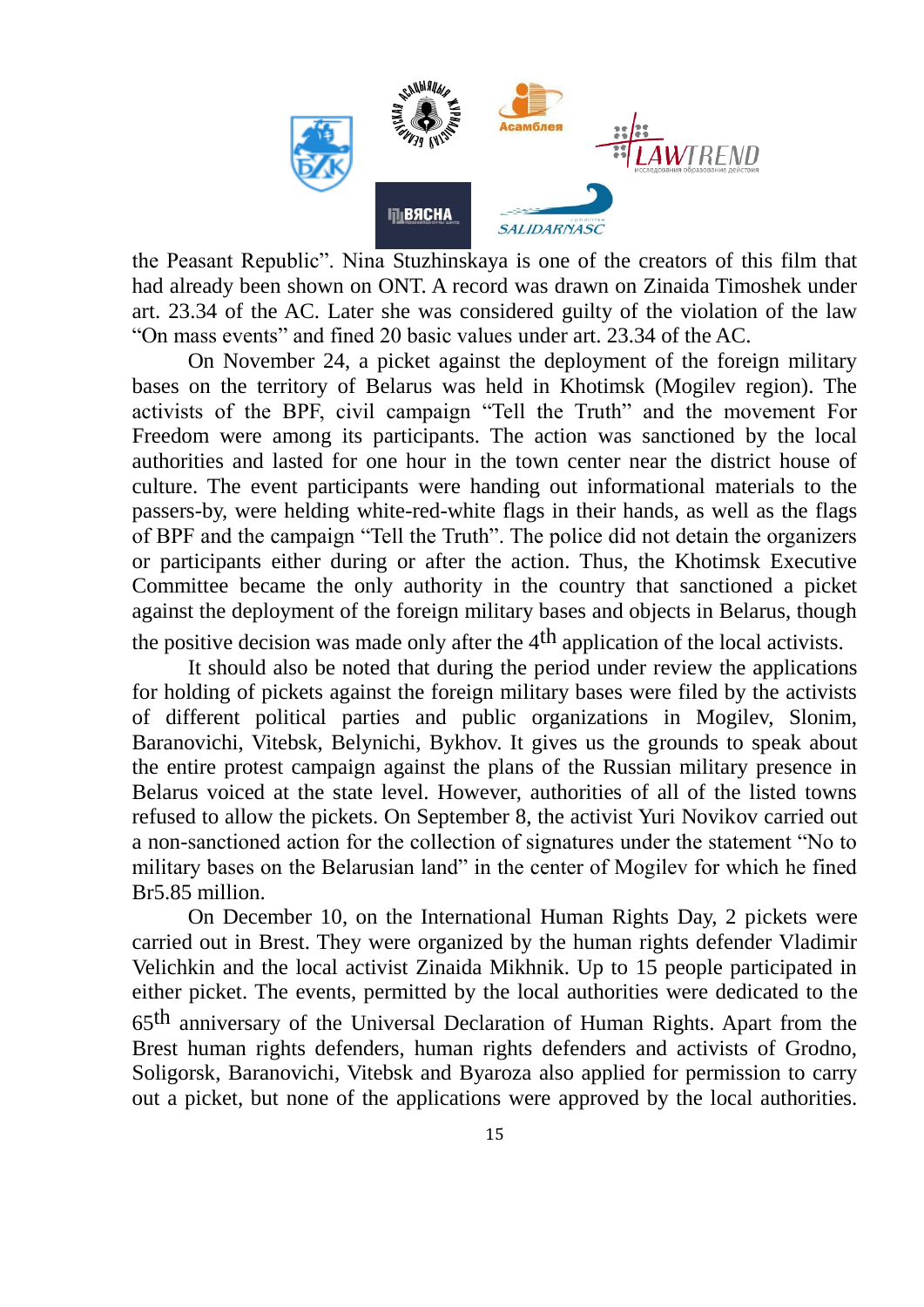

the Peasant Republic". Nina Stuzhinskaya is one of the creators of this film that had already been shown on ONT. A record was drawn on Zinaida Timoshek under art. 23.34 of the AC. Later she was considered guilty of the violation of the law "On mass events" and fined 20 basic values under art. 23.34 of the AC.

On November 24, a picket against the deployment of the foreign military bases on the territory of Belarus was held in Khotimsk (Mogilev region). The activists of the BPF, civil campaign "Tell the Truth" and the movement For Freedom were among its participants. The action was sanctioned by the local authorities and lasted for one hour in the town center near the district house of culture. The event participants were handing out informational materials to the passers-by, were helding white-red-white flags in their hands, as well as the flags of BPF and the campaign "Tell the Truth". The police did not detain the organizers or participants either during or after the action. Thus, the Khotimsk Executive Committee became the only authority in the country that sanctioned a picket against the deployment of the foreign military bases and objects in Belarus, though the positive decision was made only after the  $4<sup>th</sup>$  application of the local activists.

It should also be noted that during the period under review the applications for holding of pickets against the foreign military bases were filed by the activists of different political parties and public organizations in Mogilev, Slonim, Baranovichi, Vitebsk, Belynichi, Bykhov. It gives us the grounds to speak about the entire protest campaign against the plans of the Russian military presence in Belarus voiced at the state level. However, authorities of all of the listed towns refused to allow the pickets. On September 8, the activist Yuri Novikov carried out a non-sanctioned action for the collection of signatures under the statement "No to military bases on the Belarusian land" in the center of Mogilev for which he fined Br5.85 million.

On December 10, on the International Human Rights Day, 2 pickets were carried out in Brest. They were organized by the human rights defender Vladimir Velichkin and the local activist Zinaida Mikhnik. Up to 15 people participated in either picket. The events, permitted by the local authorities were dedicated to the 65th anniversary of the Universal Declaration of Human Rights. Apart from the Brest human rights defenders, human rights defenders and activists of Grodno, Soligorsk, Baranovichi, Vitebsk and Byaroza also applied for permission to carry out a picket, but none of the applications were approved by the local authorities.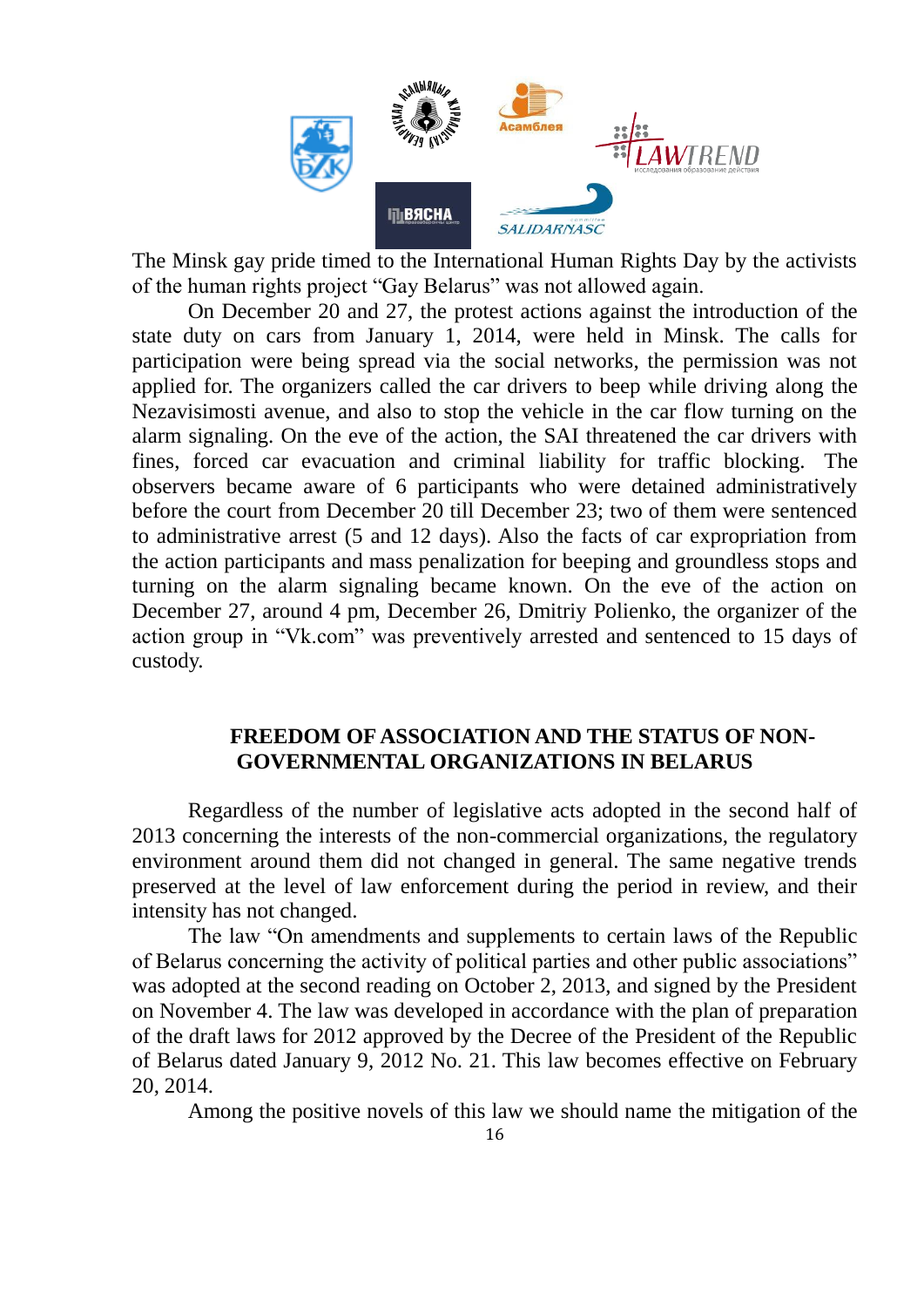

The Minsk gay pride timed to the International Human Rights Day by the activists of the human rights project "Gay Belarus" was not allowed again.

On December 20 and 27, the protest actions against the introduction of the state duty on cars from January 1, 2014, were held in Minsk. The calls for participation were being spread via the social networks, the permission was not applied for. The organizers called the car drivers to beep while driving along the Nezavisimosti avenue, and also to stop the vehicle in the car flow turning on the alarm signaling. On the eve of the action, the SAI threatened the car drivers with fines, forced car evacuation and criminal liability for traffic blocking. The observers became aware of 6 participants who were detained administratively before the court from December 20 till December 23; two of them were sentenced to administrative arrest (5 and 12 days). Also the facts of car expropriation from the action participants and mass penalization for beeping and groundless stops and turning on the alarm signaling became known. On the eve of the action on December 27, around 4 pm, December 26, Dmitriy Polienko, the organizer of the action group in "Vk.com" was preventively arrested and sentenced to 15 days of custody.

### **FREEDOM OF ASSOCIATION AND THE STATUS OF NON-GOVERNMENTAL ORGANIZATIONS IN BELARUS**

Regardless of the number of legislative acts adopted in the second half of 2013 concerning the interests of the non-commercial organizations, the regulatory environment around them did not changed in general. The same negative trends preserved at the level of law enforcement during the period in review, and their intensity has not changed.

The law "On amendments and supplements to certain laws of the Republic of Belarus concerning the activity of political parties and other public associations" was adopted at the second reading on October 2, 2013, and signed by the President on November 4. The law was developed in accordance with the plan of preparation of the draft laws for 2012 approved by the Decree of the President of the Republic of Belarus dated January 9, 2012 No. 21. This law becomes effective on February 20, 2014.

Among the positive novels of this law we should name the mitigation of the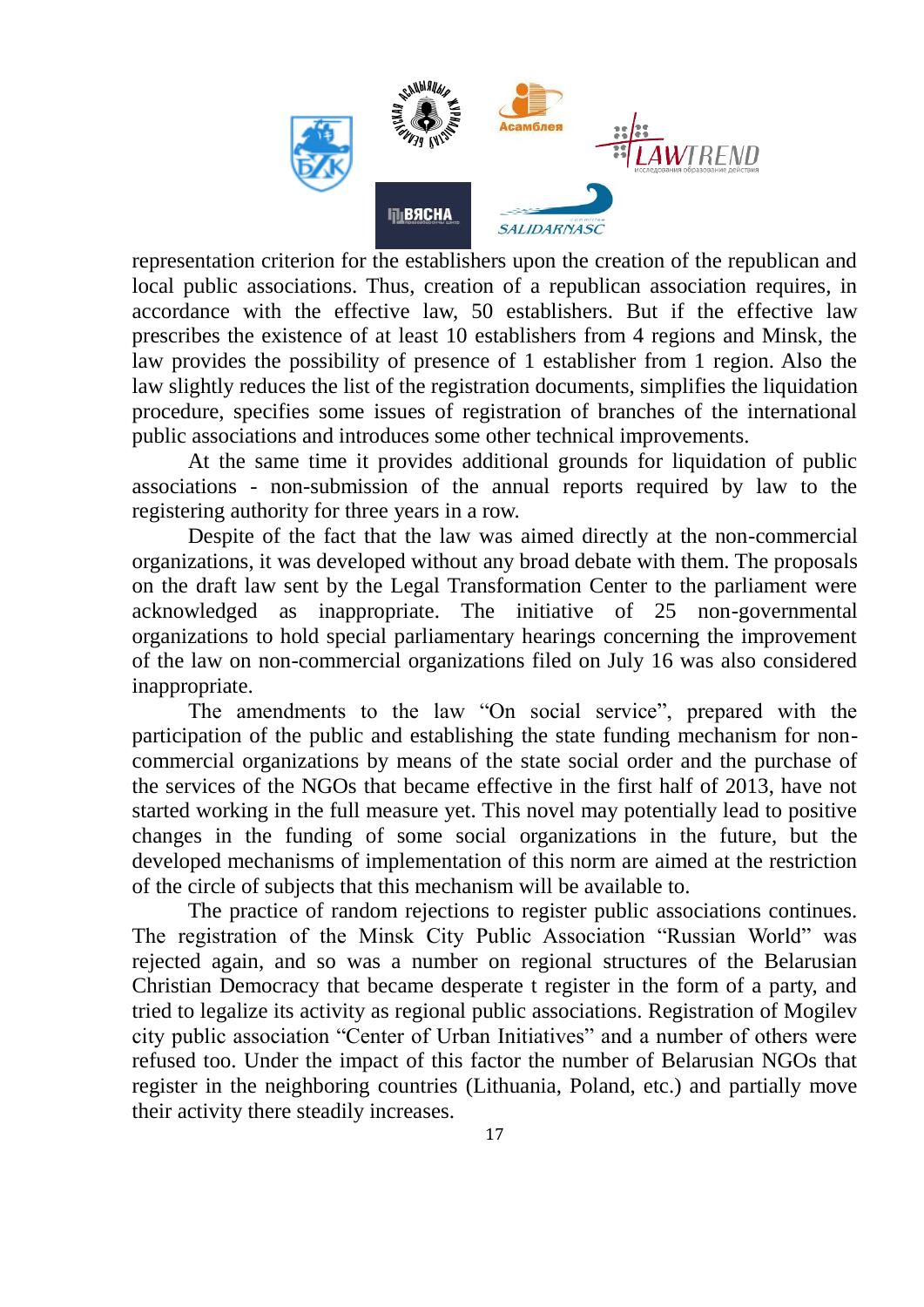

representation criterion for the establishers upon the creation of the republican and local public associations. Thus, creation of a republican association requires, in accordance with the effective law, 50 establishers. But if the effective law prescribes the existence of at least 10 establishers from 4 regions and Minsk, the law provides the possibility of presence of 1 establisher from 1 region. Also the law slightly reduces the list of the registration documents, simplifies the liquidation procedure, specifies some issues of registration of branches of the international public associations and introduces some other technical improvements.

At the same time it provides additional grounds for liquidation of public associations - non-submission of the annual reports required by law to the registering authority for three years in a row.

Despite of the fact that the law was aimed directly at the non-commercial organizations, it was developed without any broad debate with them. The proposals on the draft law sent by the Legal Transformation Center to the parliament were acknowledged as inappropriate. The initiative of 25 non-governmental organizations to hold special parliamentary hearings concerning the improvement of the law on non-commercial organizations filed on July 16 was also considered inappropriate.

The amendments to the law "On social service", prepared with the participation of the public and establishing the state funding mechanism for noncommercial organizations by means of the state social order and the purchase of the services of the NGOs that became effective in the first half of 2013, have not started working in the full measure yet. This novel may potentially lead to positive changes in the funding of some social organizations in the future, but the developed mechanisms of implementation of this norm are aimed at the restriction of the circle of subjects that this mechanism will be available to.

The practice of random rejections to register public associations continues. The registration of the Minsk City Public Association "Russian World" was rejected again, and so was a number on regional structures of the Belarusian Christian Democracy that became desperate t register in the form of a party, and tried to legalize its activity as regional public associations. Registration of Mogilev city public association "Center of Urban Initiatives" and a number of others were refused too. Under the impact of this factor the number of Belarusian NGOs that register in the neighboring countries (Lithuania, Poland, etc.) and partially move their activity there steadily increases.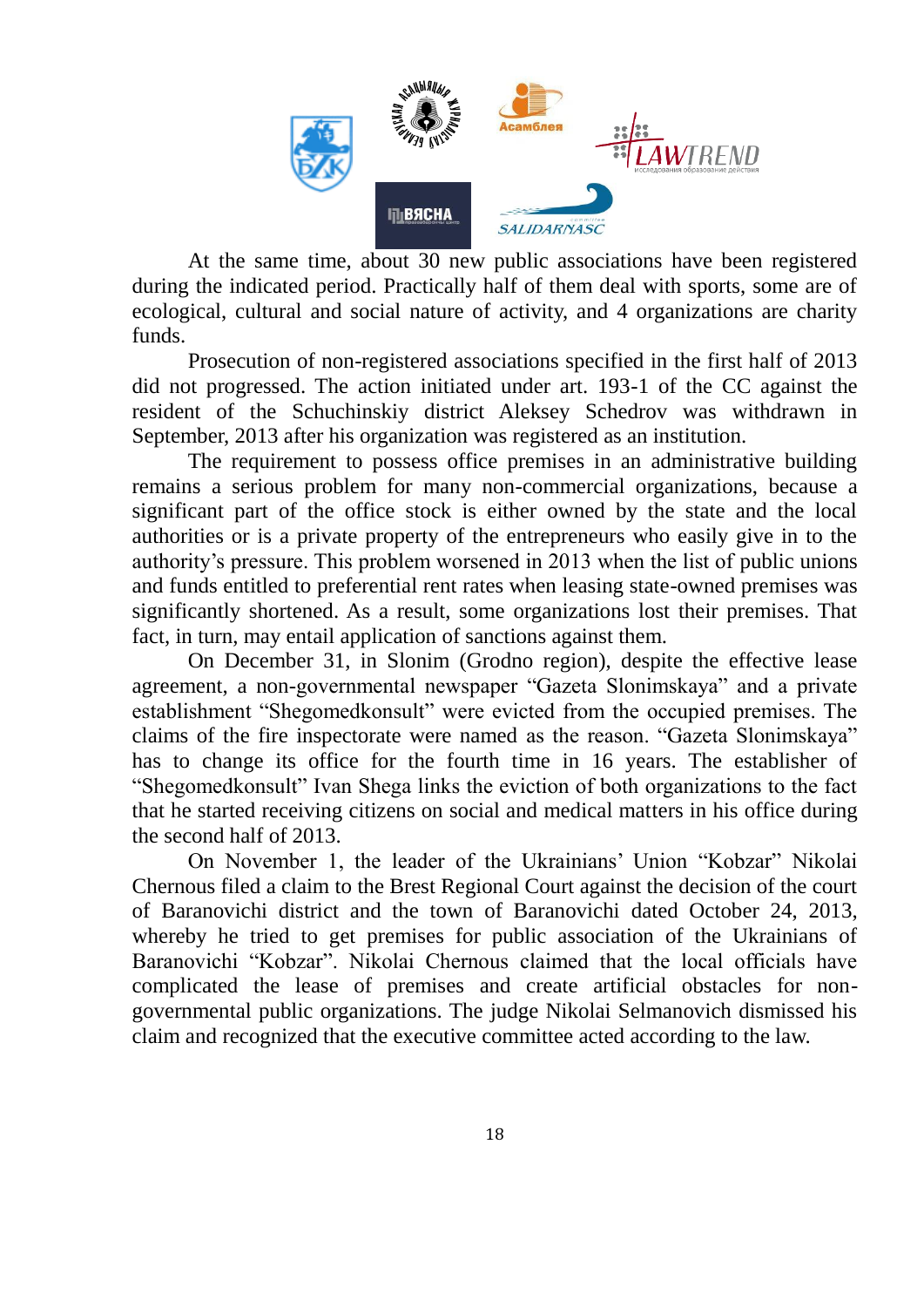

At the same time, about 30 new public associations have been registered during the indicated period. Practically half of them deal with sports, some are of ecological, cultural and social nature of activity, and 4 organizations are charity funds.

Prosecution of non-registered associations specified in the first half of 2013 did not progressed. The action initiated under art. 193-1 of the CC against the resident of the Schuchinskiy district Aleksey Schedrov was withdrawn in September, 2013 after his organization was registered as an institution.

The requirement to possess office premises in an administrative building remains a serious problem for many non-commercial organizations, because a significant part of the office stock is either owned by the state and the local authorities or is a private property of the entrepreneurs who easily give in to the authority's pressure. This problem worsened in 2013 when the list of public unions and funds entitled to preferential rent rates when leasing state-owned premises was significantly shortened. As a result, some organizations lost their premises. That fact, in turn, may entail application of sanctions against them.

On December 31, in Slonim (Grodno region), despite the effective lease agreement, a non-governmental newspaper "Gazeta Slonimskaya" and a private establishment "Shegomedkonsult" were evicted from the occupied premises. The claims of the fire inspectorate were named as the reason. "Gazeta Slonimskaya" has to change its office for the fourth time in 16 years. The establisher of "Shegomedkonsult" Ivan Shega links the eviction of both organizations to the fact that he started receiving citizens on social and medical matters in his office during the second half of 2013.

On November 1, the leader of the Ukrainians' Union "Kobzar" Nikolai Chernous filed a claim to the Brest Regional Court against the decision of the court of Baranovichi district and the town of Baranovichi dated October 24, 2013, whereby he tried to get premises for public association of the Ukrainians of Baranovichi "Kobzar". Nikolai Chernous claimed that the local officials have complicated the lease of premises and create artificial obstacles for nongovernmental public organizations. The judge Nikolai Selmanovich dismissed his claim and recognized that the executive committee acted according to the law.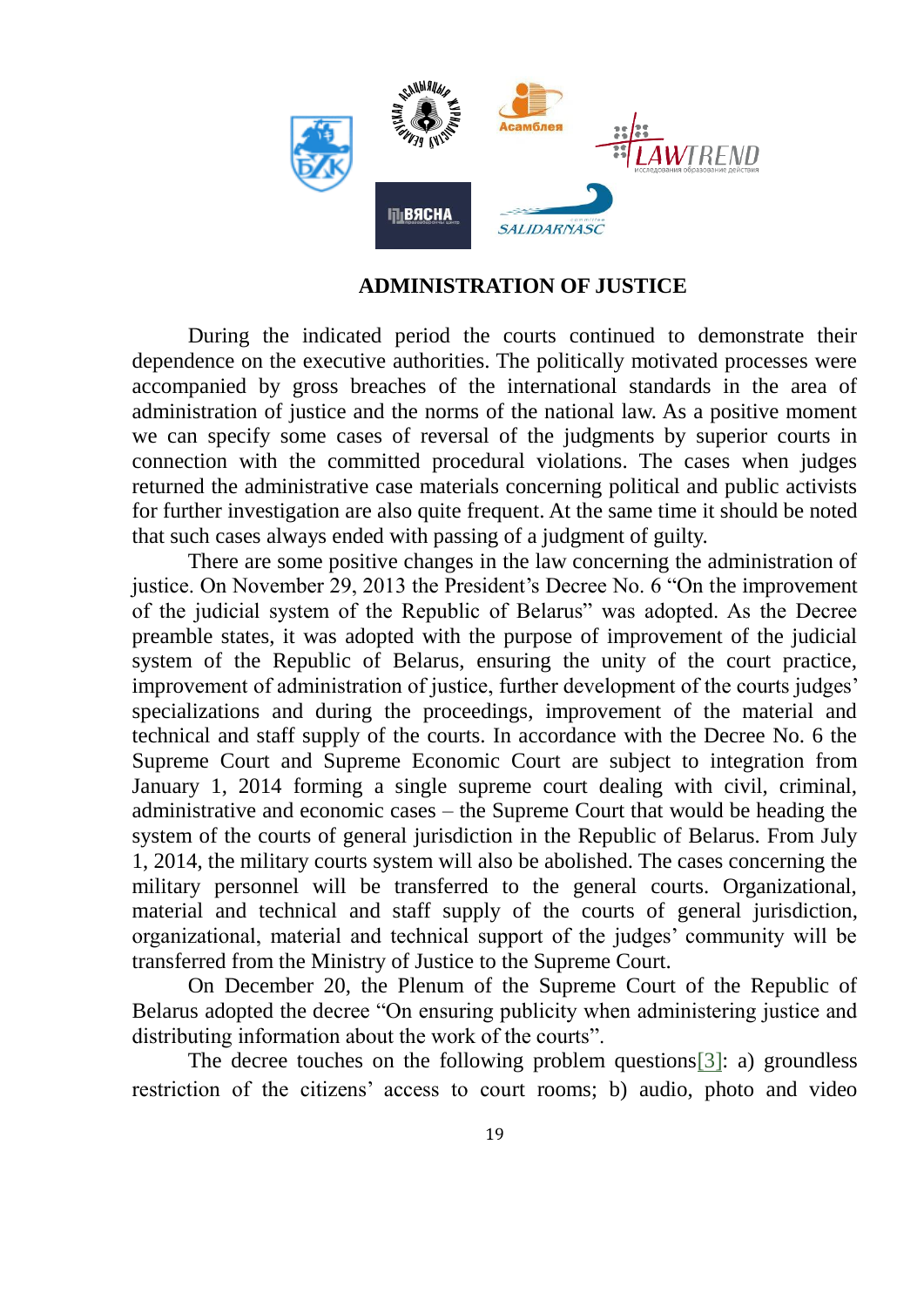

#### **ADMINISTRATION OF JUSTICE**

During the indicated period the courts continued to demonstrate their dependence on the executive authorities. The politically motivated processes were accompanied by gross breaches of the international standards in the area of administration of justice and the norms of the national law. As a positive moment we can specify some cases of reversal of the judgments by superior courts in connection with the committed procedural violations. The cases when judges returned the administrative case materials concerning political and public activists for further investigation are also quite frequent. At the same time it should be noted that such cases always ended with passing of a judgment of guilty.

There are some positive changes in the law concerning the administration of justice. On November 29, 2013 the President's Decree No. 6 "On the improvement of the judicial system of the Republic of Belarus" was adopted. As the Decree preamble states, it was adopted with the purpose of improvement of the judicial system of the Republic of Belarus, ensuring the unity of the court practice, improvement of administration of justice, further development of the courts judges' specializations and during the proceedings, improvement of the material and technical and staff supply of the courts. In accordance with the Decree No. 6 the Supreme Court and Supreme Economic Court are subject to integration from January 1, 2014 forming a single supreme court dealing with civil, criminal, administrative and economic cases – the Supreme Court that would be heading the system of the courts of general jurisdiction in the Republic of Belarus. From July 1, 2014, the military courts system will also be abolished. The cases concerning the military personnel will be transferred to the general courts. Organizational, material and technical and staff supply of the courts of general jurisdiction, organizational, material and technical support of the judges' community will be transferred from the Ministry of Justice to the Supreme Court.

On December 20, the Plenum of the Supreme Court of the Republic of Belarus adopted the decree "On ensuring publicity when administering justice and distributing information about the work of the courts".

The decree touches on the following problem questions[3]: a) groundless restriction of the citizens' access to court rooms; b) audio, photo and video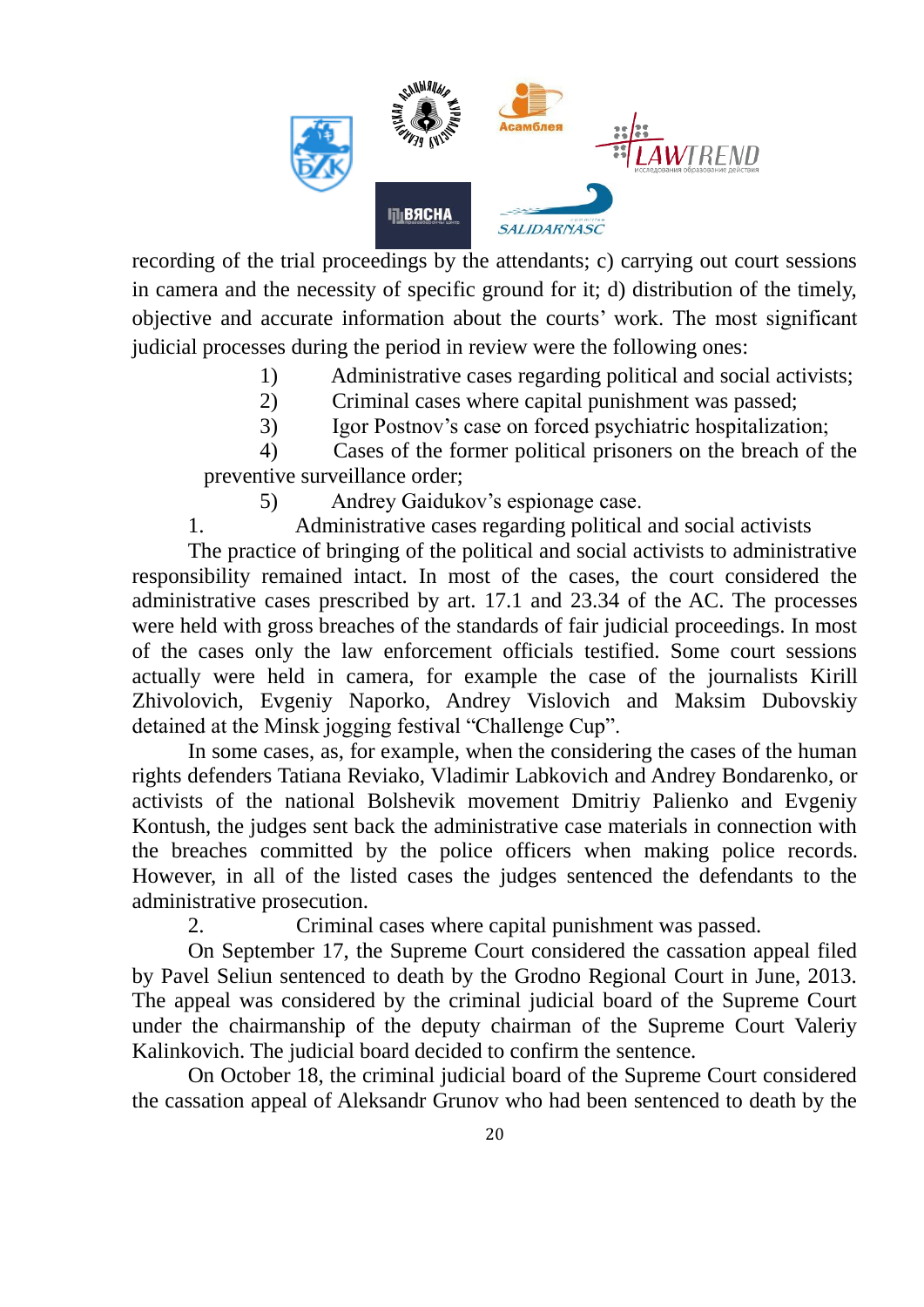

recording of the trial proceedings by the attendants; c) carrying out court sessions in camera and the necessity of specific ground for it; d) distribution of the timely, objective and accurate information about the courts' work. The most significant judicial processes during the period in review were the following ones:

- 1) Administrative cases regarding political and social activists;
- 2) Criminal cases where capital punishment was passed;
- 3) Igor Postnov's case on forced psychiatric hospitalization;

4) Cases of the former political prisoners on the breach of the preventive surveillance order;

5) Andrey Gaidukov's espionage case.

1. Administrative cases regarding political and social activists

The practice of bringing of the political and social activists to administrative responsibility remained intact. In most of the cases, the court considered the administrative cases prescribed by art. 17.1 and 23.34 of the AC. The processes were held with gross breaches of the standards of fair judicial proceedings. In most of the cases only the law enforcement officials testified. Some court sessions actually were held in camera, for example the case of the journalists Kirill Zhivolovich, Evgeniy Naporko, Andrey Vislovich and Maksim Dubovskiy detained at the Minsk jogging festival "Challenge Cup".

In some cases, as, for example, when the considering the cases of the human rights defenders Tatiana Reviako, Vladimir Labkovich and Andrey Bondarenko, or activists of the national Bolshevik movement Dmitriy Palienko and Evgeniy Kontush, the judges sent back the administrative case materials in connection with the breaches committed by the police officers when making police records. However, in all of the listed cases the judges sentenced the defendants to the administrative prosecution.

2. Criminal cases where capital punishment was passed.

On September 17, the Supreme Court considered the cassation appeal filed by Pavel Seliun sentenced to death by the Grodno Regional Court in June, 2013. The appeal was considered by the criminal judicial board of the Supreme Court under the chairmanship of the deputy chairman of the Supreme Court Valeriy Kalinkovich. The judicial board decided to confirm the sentence.

On October 18, the criminal judicial board of the Supreme Court considered the cassation appeal of Aleksandr Grunov who had been sentenced to death by the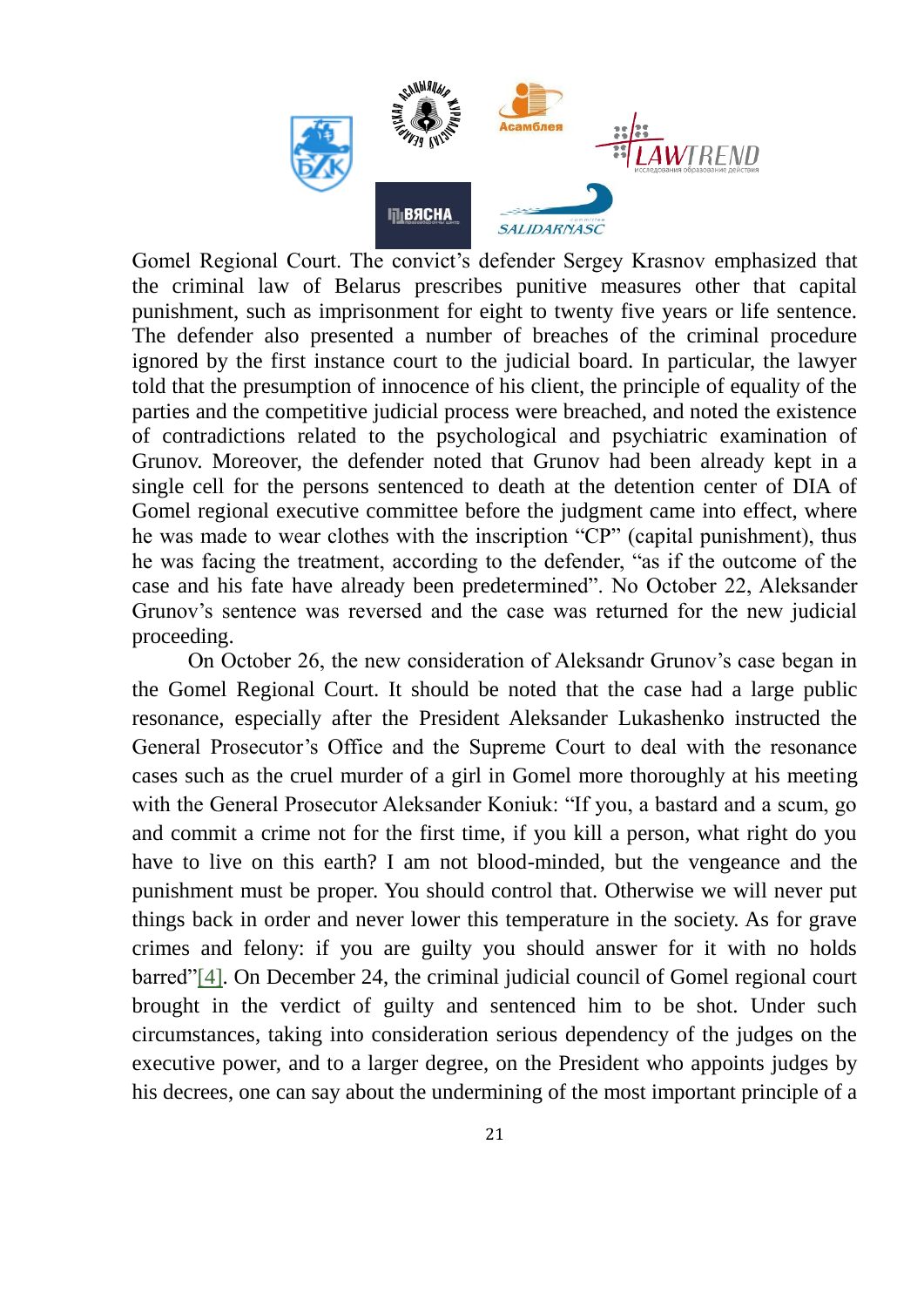

Gomel Regional Court. The convict's defender Sergey Krasnov emphasized that the criminal law of Belarus prescribes punitive measures other that capital punishment, such as imprisonment for eight to twenty five years or life sentence. The defender also presented a number of breaches of the criminal procedure ignored by the first instance court to the judicial board. In particular, the lawyer told that the presumption of innocence of his client, the principle of equality of the parties and the competitive judicial process were breached, and noted the existence of contradictions related to the psychological and psychiatric examination of Grunov. Moreover, the defender noted that Grunov had been already kept in a single cell for the persons sentenced to death at the detention center of DIA of Gomel regional executive committee before the judgment came into effect, where he was made to wear clothes with the inscription "CP" (capital punishment), thus he was facing the treatment, according to the defender, "as if the outcome of the case and his fate have already been predetermined". No October 22, Aleksander Grunov's sentence was reversed and the case was returned for the new judicial proceeding.

On October 26, the new consideration of Aleksandr Grunov's case began in the Gomel Regional Court. It should be noted that the case had a large public resonance, especially after the President Aleksander Lukashenko instructed the General Prosecutor's Office and the Supreme Court to deal with the resonance cases such as the cruel murder of a girl in Gomel more thoroughly at his meeting with the General Prosecutor Aleksander Koniuk: "If you, a bastard and a scum, go and commit a crime not for the first time, if you kill a person, what right do you have to live on this earth? I am not blood-minded, but the vengeance and the punishment must be proper. You should control that. Otherwise we will never put things back in order and never lower this temperature in the society. As for grave crimes and felony: if you are guilty you should answer for it with no holds barred"[4]. On December 24, the criminal judicial council of Gomel regional court brought in the verdict of guilty and sentenced him to be shot. Under such circumstances, taking into consideration serious dependency of the judges on the executive power, and to a larger degree, on the President who appoints judges by his decrees, one can say about the undermining of the most important principle of a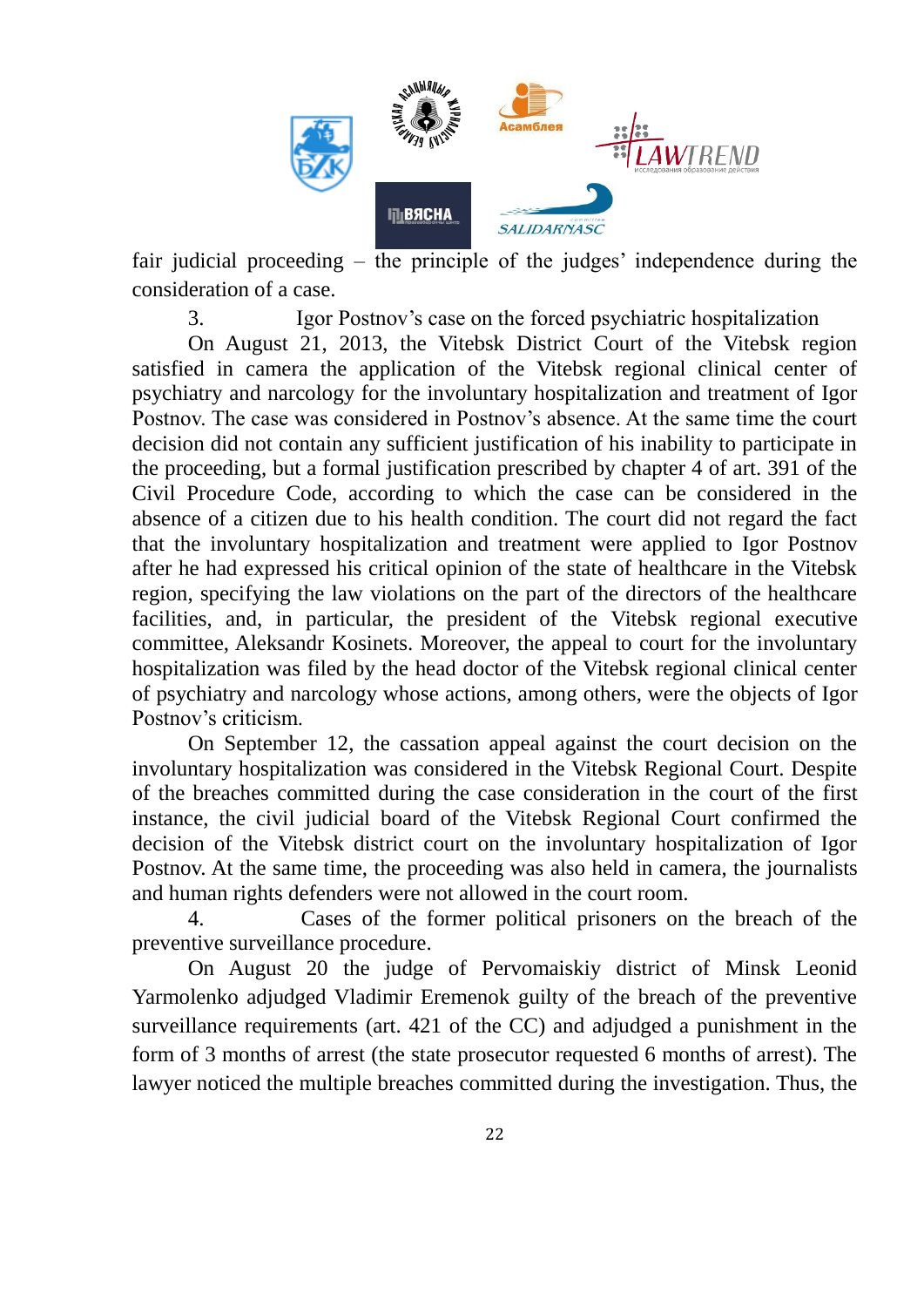

fair judicial proceeding – the principle of the judges' independence during the consideration of a case.

3. Igor Postnov's case on the forced psychiatric hospitalization

On August 21, 2013, the Vitebsk District Court of the Vitebsk region satisfied in camera the application of the Vitebsk regional clinical center of psychiatry and narcology for the involuntary hospitalization and treatment of Igor Postnov. The case was considered in Postnov's absence. At the same time the court decision did not contain any sufficient justification of his inability to participate in the proceeding, but a formal justification prescribed by chapter 4 of art. 391 of the Civil Procedure Code, according to which the case can be considered in the absence of a citizen due to his health condition. The court did not regard the fact that the involuntary hospitalization and treatment were applied to Igor Postnov after he had expressed his critical opinion of the state of healthcare in the Vitebsk region, specifying the law violations on the part of the directors of the healthcare facilities, and, in particular, the president of the Vitebsk regional executive committee, Aleksandr Kosinets. Moreover, the appeal to court for the involuntary hospitalization was filed by the head doctor of the Vitebsk regional clinical center of psychiatry and narcology whose actions, among others, were the objects of Igor Postnov's criticism.

On September 12, the cassation appeal against the court decision on the involuntary hospitalization was considered in the Vitebsk Regional Court. Despite of the breaches committed during the case consideration in the court of the first instance, the civil judicial board of the Vitebsk Regional Court confirmed the decision of the Vitebsk district court on the involuntary hospitalization of Igor Postnov. At the same time, the proceeding was also held in camera, the journalists and human rights defenders were not allowed in the court room.

4. Cases of the former political prisoners on the breach of the preventive surveillance procedure.

On August 20 the judge of Pervomaiskiy district of Minsk Leonid Yarmolenko adjudged Vladimir Eremenok guilty of the breach of the preventive surveillance requirements (art. 421 of the CC) and adjudged a punishment in the form of 3 months of arrest (the state prosecutor requested 6 months of arrest). The lawyer noticed the multiple breaches committed during the investigation. Thus, the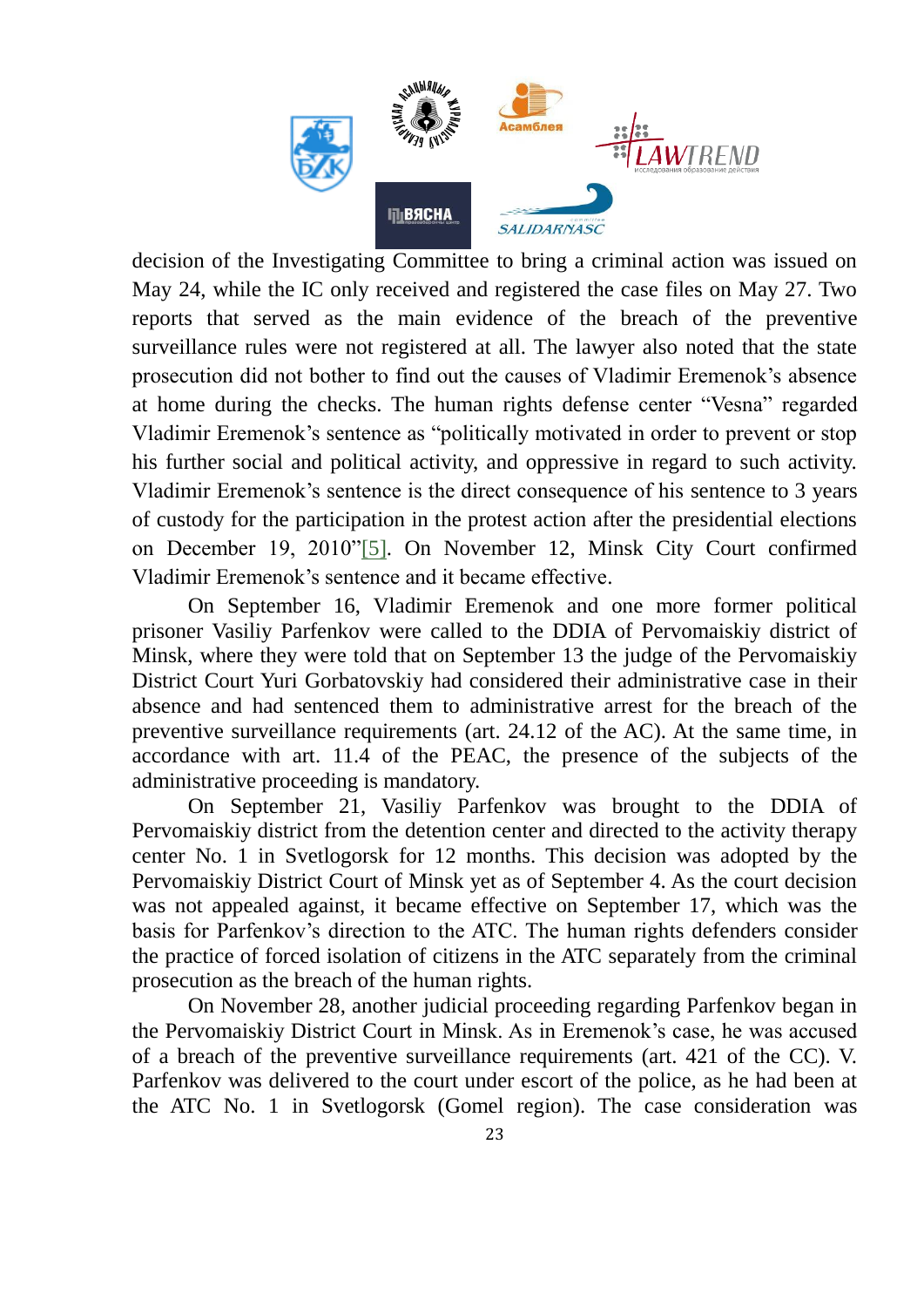

decision of the Investigating Committee to bring a criminal action was issued on May 24, while the IC only received and registered the case files on May 27. Two reports that served as the main evidence of the breach of the preventive surveillance rules were not registered at all. The lawyer also noted that the state prosecution did not bother to find out the causes of Vladimir Eremenok's absence at home during the checks. The human rights defense center "Vesna" regarded Vladimir Eremenok's sentence as "politically motivated in order to prevent or stop his further social and political activity, and oppressive in regard to such activity. Vladimir Eremenok's sentence is the direct consequence of his sentence to 3 years of custody for the participation in the protest action after the presidential elections on December 19, 2010"[5]. On November 12, Minsk City Court confirmed Vladimir Eremenok's sentence and it became effective.

On September 16, Vladimir Eremenok and one more former political prisoner Vasiliy Parfenkov were called to the DDIA of Pervomaiskiy district of Minsk, where they were told that on September 13 the judge of the Pervomaiskiy District Court Yuri Gorbatovskiy had considered their administrative case in their absence and had sentenced them to administrative arrest for the breach of the preventive surveillance requirements (art. 24.12 of the AC). At the same time, in accordance with art. 11.4 of the PEAC, the presence of the subjects of the administrative proceeding is mandatory.

On September 21, Vasiliy Parfenkov was brought to the DDIA of Pervomaiskiy district from the detention center and directed to the activity therapy center No. 1 in Svetlogorsk for 12 months. This decision was adopted by the Pervomaiskiy District Court of Minsk yet as of September 4. As the court decision was not appealed against, it became effective on September 17, which was the basis for Parfenkov's direction to the ATC. The human rights defenders consider the practice of forced isolation of citizens in the ATC separately from the criminal prosecution as the breach of the human rights.

On November 28, another judicial proceeding regarding Parfenkov began in the Pervomaiskiy District Court in Minsk. As in Eremenok's case, he was accused of a breach of the preventive surveillance requirements (art. 421 of the CC). V. Parfenkov was delivered to the court under escort of the police, as he had been at the ATC No. 1 in Svetlogorsk (Gomel region). The case consideration was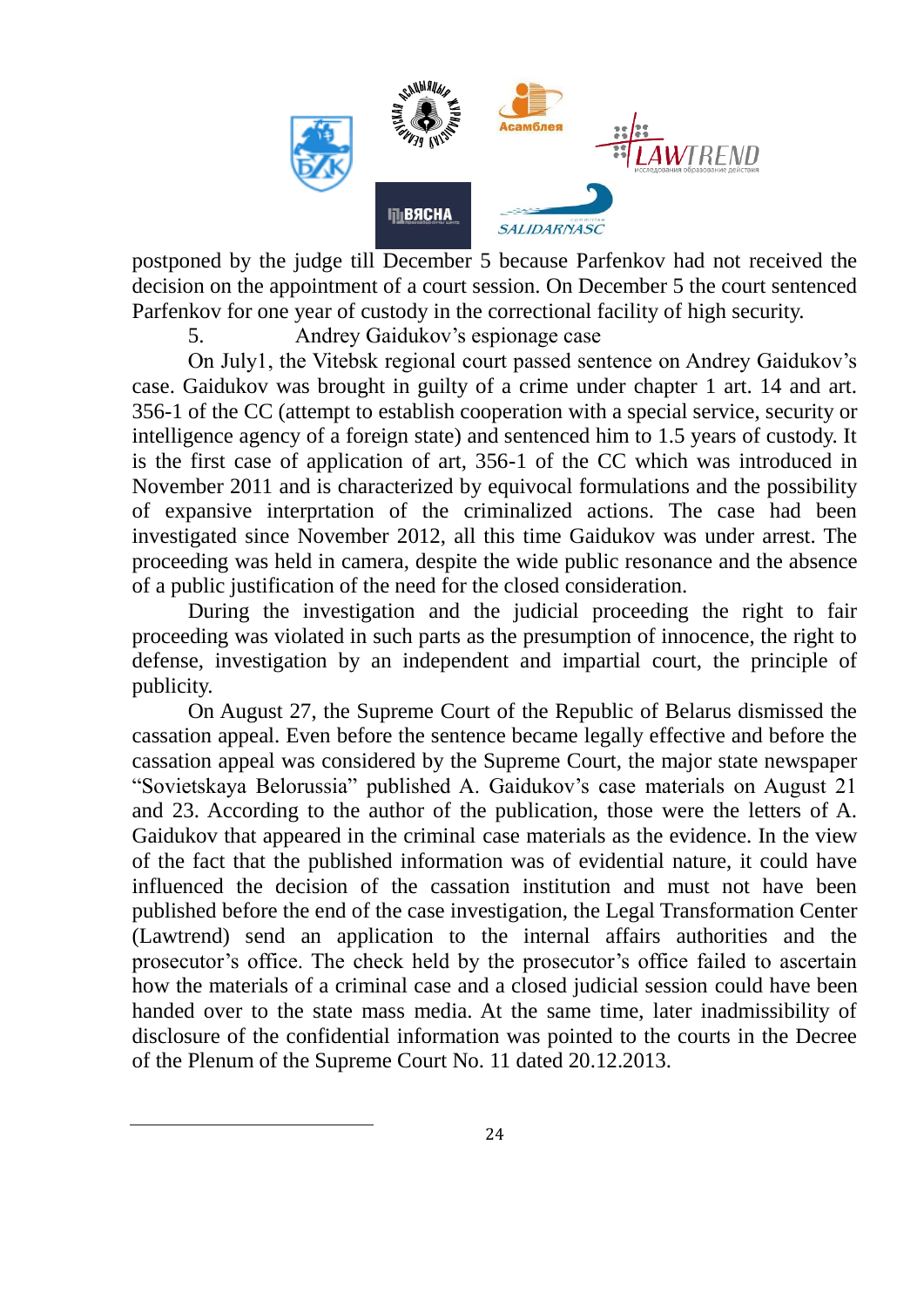

postponed by the judge till December 5 because Parfenkov had not received the decision on the appointment of a court session. On December 5 the court sentenced Parfenkov for one year of custody in the correctional facility of high security.

5. Andrey Gaidukov's espionage case

On July1, the Vitebsk regional court passed sentence on Andrey Gaidukov's case. Gaidukov was brought in guilty of a crime under chapter 1 art. 14 and art. 356-1 of the CC (attempt to establish cooperation with a special service, security or intelligence agency of a foreign state) and sentenced him to 1.5 years of custody. It is the first case of application of art, 356-1 of the CC which was introduced in November 2011 and is characterized by equivocal formulations and the possibility of expansive interprtation of the criminalized actions. The case had been investigated since November 2012, all this time Gaidukov was under arrest. The proceeding was held in camera, despite the wide public resonance and the absence of a public justification of the need for the closed consideration.

During the investigation and the judicial proceeding the right to fair proceeding was violated in such parts as the presumption of innocence, the right to defense, investigation by an independent and impartial court, the principle of publicity.

On August 27, the Supreme Court of the Republic of Belarus dismissed the cassation appeal. Even before the sentence became legally effective and before the cassation appeal was considered by the Supreme Court, the major state newspaper "Sovietskaya Belorussia" published A. Gaidukov's case materials on August 21 and 23. According to the author of the publication, those were the letters of A. Gaidukov that appeared in the criminal case materials as the evidence. In the view of the fact that the published information was of evidential nature, it could have influenced the decision of the cassation institution and must not have been published before the end of the case investigation, the Legal Transformation Center (Lawtrend) send an application to the internal affairs authorities and the prosecutor's office. The check held by the prosecutor's office failed to ascertain how the materials of a criminal case and a closed judicial session could have been handed over to the state mass media. At the same time, later inadmissibility of disclosure of the confidential information was pointed to the courts in the Decree of the Plenum of the Supreme Court No. 11 dated 20.12.2013.